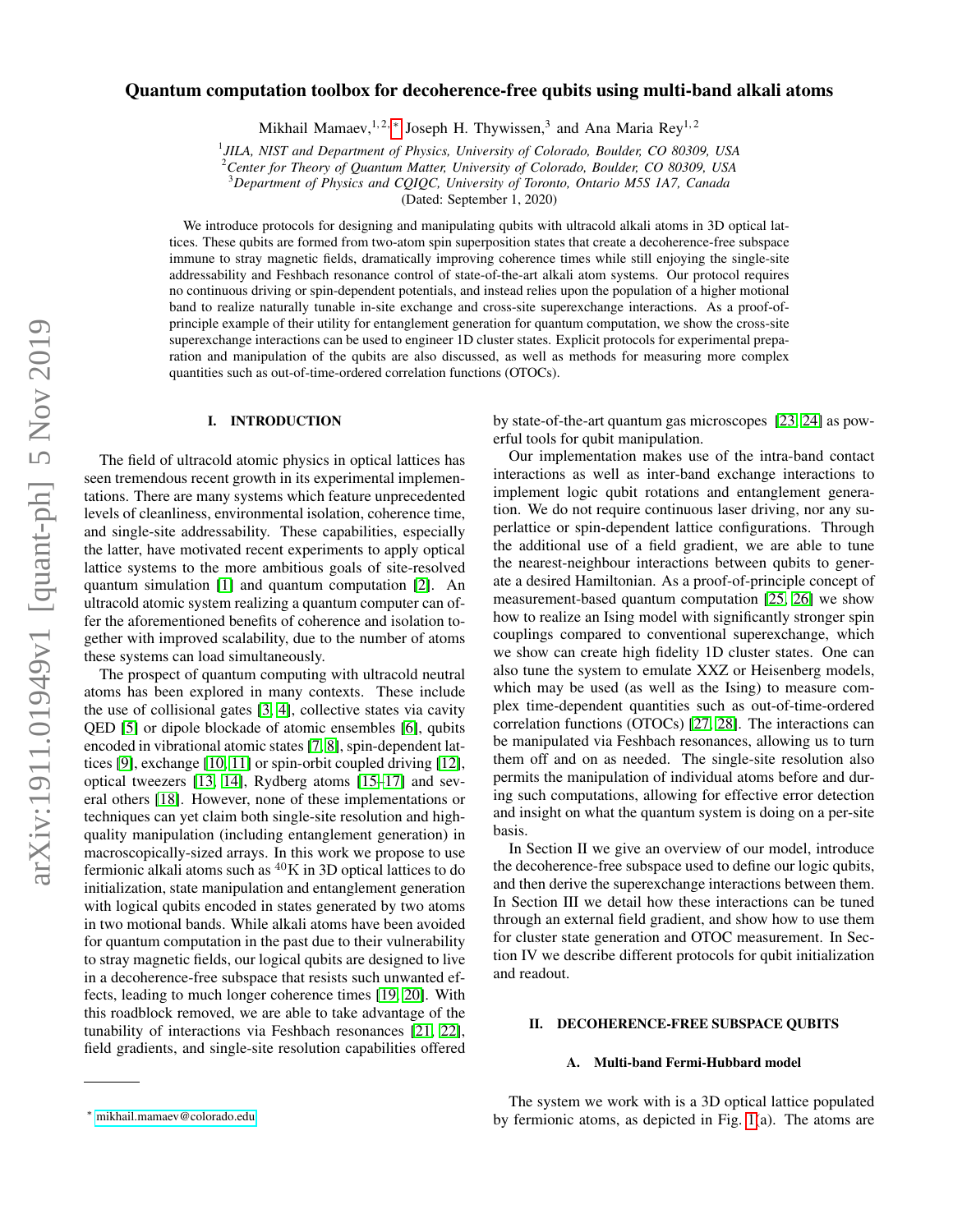## Quantum computation toolbox for decoherence-free qubits using multi-band alkali atoms

Mikhail Mamaev,<sup>1,2,\*</sup> Joseph H. Thywissen,<sup>3</sup> and Ana Maria Rey<sup>1,2</sup>

1 *JILA, NIST and Department of Physics, University of Colorado, Boulder, CO 80309, USA*

<sup>2</sup>*Center for Theory of Quantum Matter, University of Colorado, Boulder, CO 80309, USA*

<sup>3</sup>*Department of Physics and CQIQC, University of Toronto, Ontario M5S 1A7, Canada*

(Dated: September 1, 2020)

We introduce protocols for designing and manipulating qubits with ultracold alkali atoms in 3D optical lattices. These qubits are formed from two-atom spin superposition states that create a decoherence-free subspace immune to stray magnetic fields, dramatically improving coherence times while still enjoying the single-site addressability and Feshbach resonance control of state-of-the-art alkali atom systems. Our protocol requires no continuous driving or spin-dependent potentials, and instead relies upon the population of a higher motional band to realize naturally tunable in-site exchange and cross-site superexchange interactions. As a proof-ofprinciple example of their utility for entanglement generation for quantum computation, we show the cross-site superexchange interactions can be used to engineer 1D cluster states. Explicit protocols for experimental preparation and manipulation of the qubits are also discussed, as well as methods for measuring more complex quantities such as out-of-time-ordered correlation functions (OTOCs).

## I. INTRODUCTION

The field of ultracold atomic physics in optical lattices has seen tremendous recent growth in its experimental implementations. There are many systems which feature unprecedented levels of cleanliness, environmental isolation, coherence time, and single-site addressability. These capabilities, especially the latter, have motivated recent experiments to apply optical lattice systems to the more ambitious goals of site-resolved quantum simulation [\[1\]](#page-8-0) and quantum computation [\[2\]](#page-8-1). An ultracold atomic system realizing a quantum computer can offer the aforementioned benefits of coherence and isolation together with improved scalability, due to the number of atoms these systems can load simultaneously.

The prospect of quantum computing with ultracold neutral atoms has been explored in many contexts. These include the use of collisional gates [\[3,](#page-8-2) [4\]](#page-8-3), collective states via cavity QED [\[5\]](#page-8-4) or dipole blockade of atomic ensembles [\[6\]](#page-8-5), qubits encoded in vibrational atomic states [\[7,](#page-8-6) [8\]](#page-8-7), spin-dependent lattices [\[9\]](#page-8-8), exchange [\[10,](#page-8-9) [11\]](#page-8-10) or spin-orbit coupled driving [\[12\]](#page-8-11), optical tweezers [\[13,](#page-8-12) [14\]](#page-8-13), Rydberg atoms [\[15](#page-8-14)[–17\]](#page-8-15) and several others [\[18\]](#page-8-16). However, none of these implementations or techniques can yet claim both single-site resolution and highquality manipulation (including entanglement generation) in macroscopically-sized arrays. In this work we propose to use fermionic alkali atoms such as  ${}^{40}$ K in 3D optical lattices to do initialization, state manipulation and entanglement generation with logical qubits encoded in states generated by two atoms in two motional bands. While alkali atoms have been avoided for quantum computation in the past due to their vulnerability to stray magnetic fields, our logical qubits are designed to live in a decoherence-free subspace that resists such unwanted effects, leading to much longer coherence times [\[19,](#page-8-17) [20\]](#page-8-18). With this roadblock removed, we are able to take advantage of the tunability of interactions via Feshbach resonances [\[21,](#page-8-19) [22\]](#page-8-20), field gradients, and single-site resolution capabilities offered by state-of-the-art quantum gas microscopes [\[23,](#page-8-21) [24\]](#page-8-22) as powerful tools for qubit manipulation.

Our implementation makes use of the intra-band contact interactions as well as inter-band exchange interactions to implement logic qubit rotations and entanglement generation. We do not require continuous laser driving, nor any superlattice or spin-dependent lattice configurations. Through the additional use of a field gradient, we are able to tune the nearest-neighbour interactions between qubits to generate a desired Hamiltonian. As a proof-of-principle concept of measurement-based quantum computation [\[25,](#page-8-23) [26\]](#page-8-24) we show how to realize an Ising model with significantly stronger spin couplings compared to conventional superexchange, which we show can create high fidelity 1D cluster states. One can also tune the system to emulate XXZ or Heisenberg models, which may be used (as well as the Ising) to measure complex time-dependent quantities such as out-of-time-ordered correlation functions (OTOCs) [\[27,](#page-8-25) [28\]](#page-8-26). The interactions can be manipulated via Feshbach resonances, allowing us to turn them off and on as needed. The single-site resolution also permits the manipulation of individual atoms before and during such computations, allowing for effective error detection and insight on what the quantum system is doing on a per-site basis.

In Section II we give an overview of our model, introduce the decoherence-free subspace used to define our logic qubits, and then derive the superexchange interactions between them. In Section III we detail how these interactions can be tuned through an external field gradient, and show how to use them for cluster state generation and OTOC measurement. In Section IV we describe different protocols for qubit initialization and readout.

### II. DECOHERENCE-FREE SUBSPACE QUBITS

#### A. Multi-band Fermi-Hubbard model

The system we work with is a 3D optical lattice populated by fermionic atoms, as depicted in Fig. [1\(](#page-2-0)a). The atoms are

<span id="page-0-0"></span><sup>∗</sup> [mikhail.mamaev@colorado.edu](mailto:mikhail.mamaev@colorado.edu)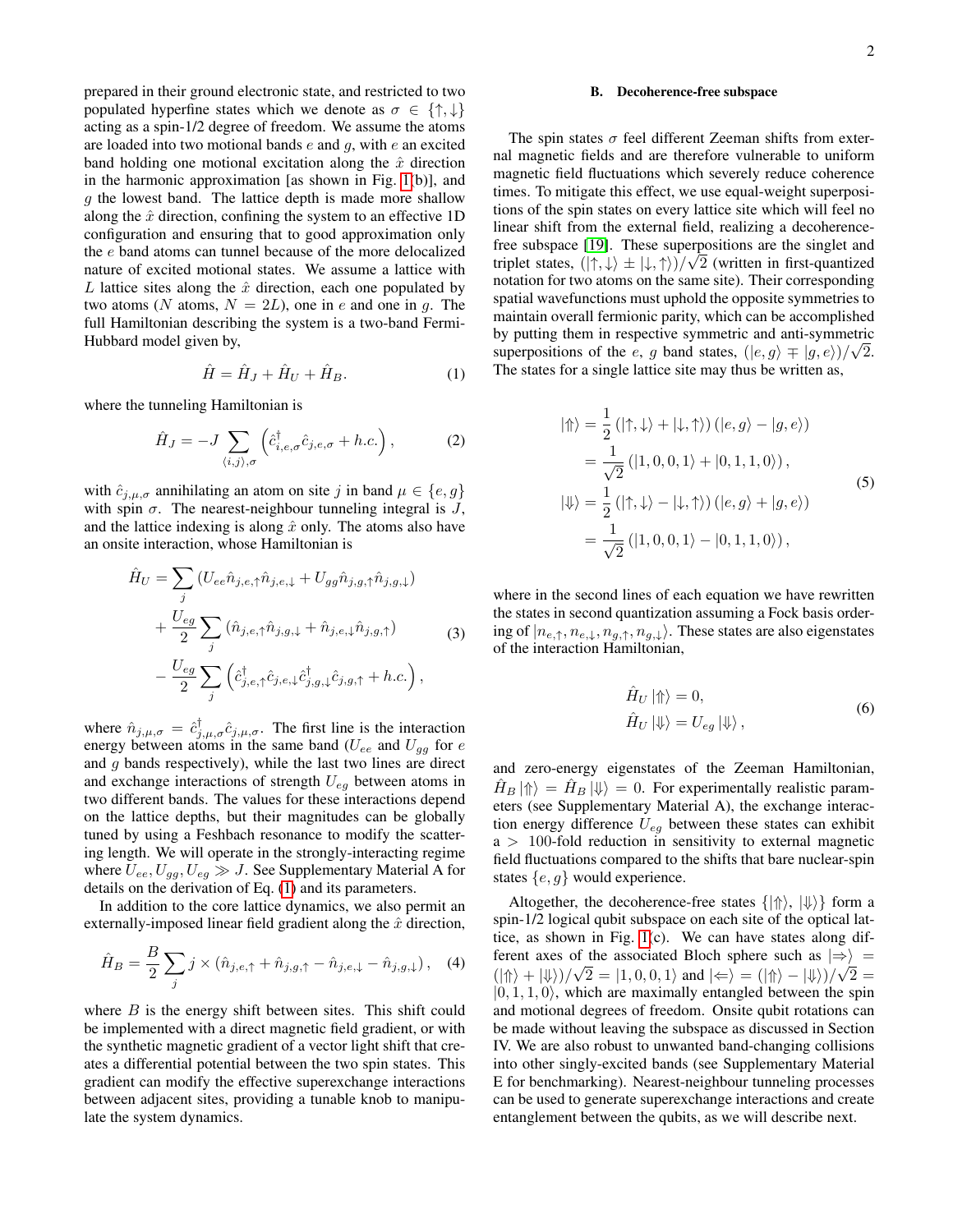prepared in their ground electronic state, and restricted to two populated hyperfine states which we denote as  $\sigma \in \{\uparrow, \downarrow\}$ acting as a spin-1/2 degree of freedom. We assume the atoms are loaded into two motional bands  $e$  and  $g$ , with  $e$  an excited band holding one motional excitation along the  $\hat{x}$  direction in the harmonic approximation [as shown in Fig. [1\(](#page-2-0)b)], and  $g$  the lowest band. The lattice depth is made more shallow along the  $\hat{x}$  direction, confining the system to an effective 1D configuration and ensuring that to good approximation only the e band atoms can tunnel because of the more delocalized nature of excited motional states. We assume a lattice with L lattice sites along the  $\hat{x}$  direction, each one populated by two atoms (N atoms,  $N = 2L$ ), one in e and one in g. The full Hamiltonian describing the system is a two-band Fermi-Hubbard model given by,

<span id="page-1-0"></span>
$$
\hat{H} = \hat{H}_J + \hat{H}_U + \hat{H}_B. \tag{1}
$$

where the tunneling Hamiltonian is

$$
\hat{H}_J = -J \sum_{\langle i,j \rangle,\sigma} \left( \hat{c}^{\dagger}_{i,e,\sigma} \hat{c}_{j,e,\sigma} + h.c. \right), \tag{2}
$$

with  $\hat{c}_{j,\mu,\sigma}$  annihilating an atom on site j in band  $\mu \in \{e, g\}$ with spin  $\sigma$ . The nearest-neighbour tunneling integral is J, and the lattice indexing is along  $\hat{x}$  only. The atoms also have an onsite interaction, whose Hamiltonian is

$$
\hat{H}_U = \sum_j \left( U_{ee} \hat{n}_{j,e,\uparrow} \hat{n}_{j,e,\downarrow} + U_{gg} \hat{n}_{j,g,\uparrow} \hat{n}_{j,g,\downarrow} \right) \n+ \frac{U_{eg}}{2} \sum_j \left( \hat{n}_{j,e,\uparrow} \hat{n}_{j,g,\downarrow} + \hat{n}_{j,e,\downarrow} \hat{n}_{j,g,\uparrow} \right) \n- \frac{U_{eg}}{2} \sum_j \left( \hat{c}_{j,e,\uparrow}^\dagger \hat{c}_{j,e,\downarrow} \hat{c}_{j,g,\downarrow}^\dagger \hat{c}_{j,g,\uparrow} + h.c. \right),
$$
\n(3)

where  $\hat{n}_{j,\mu,\sigma} = \hat{c}_{j,\mu,\sigma}^{\dagger} \hat{c}_{j,\mu,\sigma}$ . The first line is the interaction energy between atoms in the same band  $(U_{ee}$  and  $U_{gg}$  for e and  $g$  bands respectively), while the last two lines are direct and exchange interactions of strength  $U_{eq}$  between atoms in two different bands. The values for these interactions depend on the lattice depths, but their magnitudes can be globally tuned by using a Feshbach resonance to modify the scattering length. We will operate in the strongly-interacting regime where  $U_{ee}, U_{gg}, U_{eg} \gg J$ . See Supplementary Material A for details on the derivation of Eq. [\(1\)](#page-1-0) and its parameters.

In addition to the core lattice dynamics, we also permit an externally-imposed linear field gradient along the  $\hat{x}$  direction,

$$
\hat{H}_B = \frac{B}{2} \sum_j j \times (\hat{n}_{j,e,\uparrow} + \hat{n}_{j,g,\uparrow} - \hat{n}_{j,e,\downarrow} - \hat{n}_{j,g,\downarrow}), \quad (4)
$$

where  $B$  is the energy shift between sites. This shift could be implemented with a direct magnetic field gradient, or with the synthetic magnetic gradient of a vector light shift that creates a differential potential between the two spin states. This gradient can modify the effective superexchange interactions between adjacent sites, providing a tunable knob to manipulate the system dynamics.

## B. Decoherence-free subspace

The spin states  $\sigma$  feel different Zeeman shifts from external magnetic fields and are therefore vulnerable to uniform magnetic field fluctuations which severely reduce coherence times. To mitigate this effect, we use equal-weight superpositions of the spin states on every lattice site which will feel no linear shift from the external field, realizing a decoherence-free subspace [\[19\]](#page-8-17). These superpositions are the singlet and triplet states,  $(|\uparrow,\downarrow\rangle \pm |\downarrow,\uparrow\rangle)/\sqrt{2}$  (written in first-quantized notation for two atoms on the same site). Their corresponding spatial wavefunctions must uphold the opposite symmetries to maintain overall fermionic parity, which can be accomplished by putting them in respective symmetric and anti-symmetric superpositions of the e, g band states,  $(|e, g \rangle \mp |g, e \rangle)/\sqrt{2}$ . The states for a single lattice site may thus be written as,

$$
|\Uparrow\rangle = \frac{1}{2} (|\uparrow, \downarrow\rangle + |\downarrow, \uparrow\rangle) (|e, g\rangle - |g, e\rangle)
$$
  
\n
$$
= \frac{1}{\sqrt{2}} (|1, 0, 0, 1\rangle + |0, 1, 1, 0\rangle),
$$
  
\n
$$
|\Downarrow\rangle = \frac{1}{2} (|\uparrow, \downarrow\rangle - |\downarrow, \uparrow\rangle) (|e, g\rangle + |g, e\rangle)
$$
  
\n
$$
= \frac{1}{\sqrt{2}} (|1, 0, 0, 1\rangle - |0, 1, 1, 0\rangle),
$$
\n(5)

where in the second lines of each equation we have rewritten the states in second quantization assuming a Fock basis ordering of  $|n_{e,\uparrow}, n_{e,\downarrow}, n_{g,\uparrow}, n_{g,\downarrow}\rangle$ . These states are also eigenstates of the interaction Hamiltonian,

$$
\hat{H}_U \left| \Uparrow \right\rangle = 0,
$$
\n
$$
\hat{H}_U \left| \Downarrow \right\rangle = U_{eg} \left| \Downarrow \right\rangle,\tag{6}
$$

and zero-energy eigenstates of the Zeeman Hamiltonian,  $H_B |\!\!\Uparrow\rangle = H_B |\!\!\Downarrow\rangle = 0$ . For experimentally realistic parameters (see Supplementary Material A), the exchange interaction energy difference  $U_{eq}$  between these states can exhibit  $a > 100$ -fold reduction in sensitivity to external magnetic field fluctuations compared to the shifts that bare nuclear-spin states  $\{e, q\}$  would experience.

Altogether, the decoherence-free states  $\{|\Uparrow\rangle, |\Downarrow\rangle\}$  form a spin-1/2 logical qubit subspace on each site of the optical lattice, as shown in Fig. [1\(](#page-2-0)c). We can have states along different axes of the associated Bloch sphere such as  $|\Rightarrow\rangle =$  $(|\Uparrow\rangle + |\Downarrow\rangle)/\sqrt{2} = |1, 0, 0, 1\rangle$  and  $|\Leftarrow\rangle = (|\Uparrow\rangle - |\Downarrow\rangle)/\sqrt{2} =$  $|0, 1, 1, 0\rangle$ , which are maximally entangled between the spin and motional degrees of freedom. Onsite qubit rotations can be made without leaving the subspace as discussed in Section IV. We are also robust to unwanted band-changing collisions into other singly-excited bands (see Supplementary Material E for benchmarking). Nearest-neighbour tunneling processes can be used to generate superexchange interactions and create entanglement between the qubits, as we will describe next.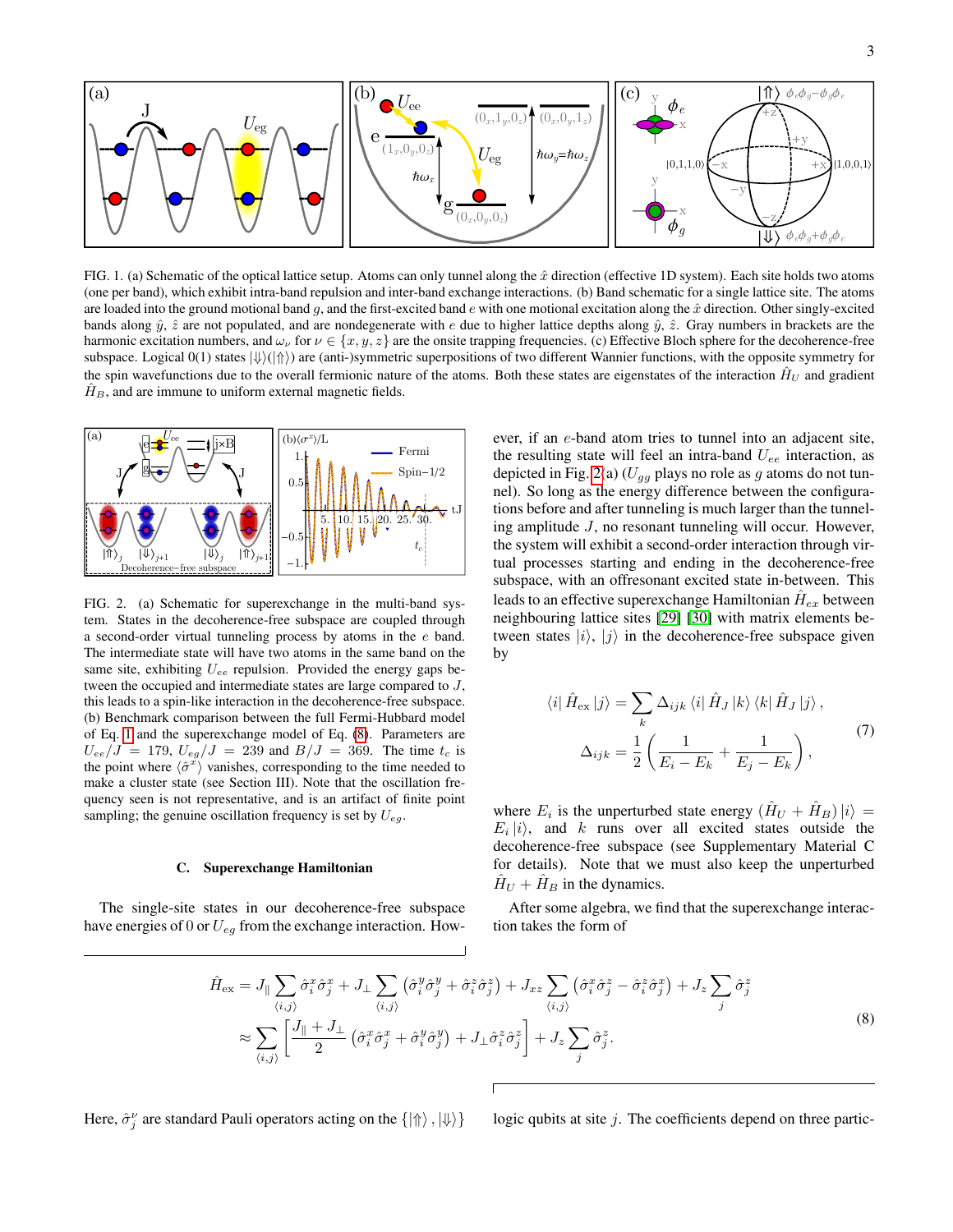

<span id="page-2-0"></span>FIG. 1. (a) Schematic of the optical lattice setup. Atoms can only tunnel along the  $\hat{x}$  direction (effective 1D system). Each site holds two atoms (one per band), which exhibit intra-band repulsion and inter-band exchange interactions. (b) Band schematic for a single lattice site. The atoms are loaded into the ground motional band g, and the first-excited band e with one motional excitation along the  $\hat{x}$  direction. Other singly-excited bands along  $\hat{y}$ ,  $\hat{z}$  are not populated, and are nondegenerate with e due to higher lattice depths along  $\hat{y}$ ,  $\hat{z}$ . Gray numbers in brackets are the harmonic excitation numbers, and  $\omega_{\nu}$  for  $\nu \in \{x, y, z\}$  are the onsite trapping frequencies. (c) Effective Bloch sphere for the decoherence-free subspace. Logical  $0(1)$  states  $|\psi\rangle$ ( $|\Uparrow\rangle$ ) are (anti-)symmetric superpositions of two different Wannier functions, with the opposite symmetry for the spin wavefunctions due to the overall fermionic nature of the atoms. Both these states are eigenstates of the interaction  $\hat{H}_U$  and gradient  $H<sub>B</sub>$ , and are immune to uniform external magnetic fields.



<span id="page-2-2"></span>FIG. 2. (a) Schematic for superexchange in the multi-band system. States in the decoherence-free subspace are coupled through a second-order virtual tunneling process by atoms in the e band. The intermediate state will have two atoms in the same band on the same site, exhibiting  $U_{ee}$  repulsion. Provided the energy gaps between the occupied and intermediate states are large compared to J, this leads to a spin-like interaction in the decoherence-free subspace. (b) Benchmark comparison between the full Fermi-Hubbard model of Eq. [1](#page-1-0) and the superexchange model of Eq. [\(8\)](#page-2-1). Parameters are  $U_{ee}/J = 179$ ,  $U_{eq}/J = 239$  and  $B/J = 369$ . The time  $t_c$  is the point where  $\langle \hat{\sigma}^x \rangle$  vanishes, corresponding to the time needed to make a cluster state (see Section III). Note that the oscillation frequency seen is not representative, and is an artifact of finite point sampling; the genuine oscillation frequency is set by  $U_{eg}$ .

#### C. Superexchange Hamiltonian

The single-site states in our decoherence-free subspace have energies of 0 or  $U_{eg}$  from the exchange interaction. How-

ever, if an e-band atom tries to tunnel into an adjacent site, the resulting state will feel an intra-band  $U_{ee}$  interaction, as depicted in Fig. [2\(](#page-2-2)a) ( $U_{gg}$  plays no role as g atoms do not tunnel). So long as the energy difference between the configurations before and after tunneling is much larger than the tunneling amplitude J, no resonant tunneling will occur. However, the system will exhibit a second-order interaction through virtual processes starting and ending in the decoherence-free subspace, with an offresonant excited state in-between. This leads to an effective superexchange Hamiltonian  $\hat{H}_{ex}$  between neighbouring lattice sites [\[29\]](#page-8-27) [\[30\]](#page-8-28) with matrix elements between states  $|i\rangle$ ,  $|i\rangle$  in the decoherence-free subspace given by

<span id="page-2-3"></span>
$$
\langle i | \hat{H}_{\text{ex}} | j \rangle = \sum_{k} \Delta_{ijk} \langle i | \hat{H}_J | k \rangle \langle k | \hat{H}_J | j \rangle,
$$
  

$$
\Delta_{ijk} = \frac{1}{2} \left( \frac{1}{E_i - E_k} + \frac{1}{E_j - E_k} \right),
$$
 (7)

where  $E_i$  is the unperturbed state energy  $(\hat{H}_U + \hat{H}_B)|i\rangle =$  $E_i|i\rangle$ , and k runs over all excited states outside the decoherence-free subspace (see Supplementary Material C for details). Note that we must also keep the unperturbed  $H_U + H_B$  in the dynamics.

After some algebra, we find that the superexchange interaction takes the form of

<span id="page-2-1"></span>
$$
\hat{H}_{\text{ex}} = J_{\parallel} \sum_{\langle i,j \rangle} \hat{\sigma}_i^x \hat{\sigma}_j^x + J_{\perp} \sum_{\langle i,j \rangle} \left( \hat{\sigma}_i^y \hat{\sigma}_j^y + \hat{\sigma}_i^z \hat{\sigma}_j^z \right) + J_{xz} \sum_{\langle i,j \rangle} \left( \hat{\sigma}_i^x \hat{\sigma}_j^z - \hat{\sigma}_i^z \hat{\sigma}_j^x \right) + J_z \sum_j \hat{\sigma}_j^z \n\approx \sum_{\langle i,j \rangle} \left[ \frac{J_{\parallel} + J_{\perp}}{2} \left( \hat{\sigma}_i^x \hat{\sigma}_j^x + \hat{\sigma}_i^y \hat{\sigma}_j^y \right) + J_{\perp} \hat{\sigma}_i^z \hat{\sigma}_j^z \right] + J_z \sum_j \hat{\sigma}_j^z.
$$
\n(8)

Here,  $\hat{\sigma}^{\nu}_{j}$ 

logic qubits at site  $j$ . The coefficients depend on three partic-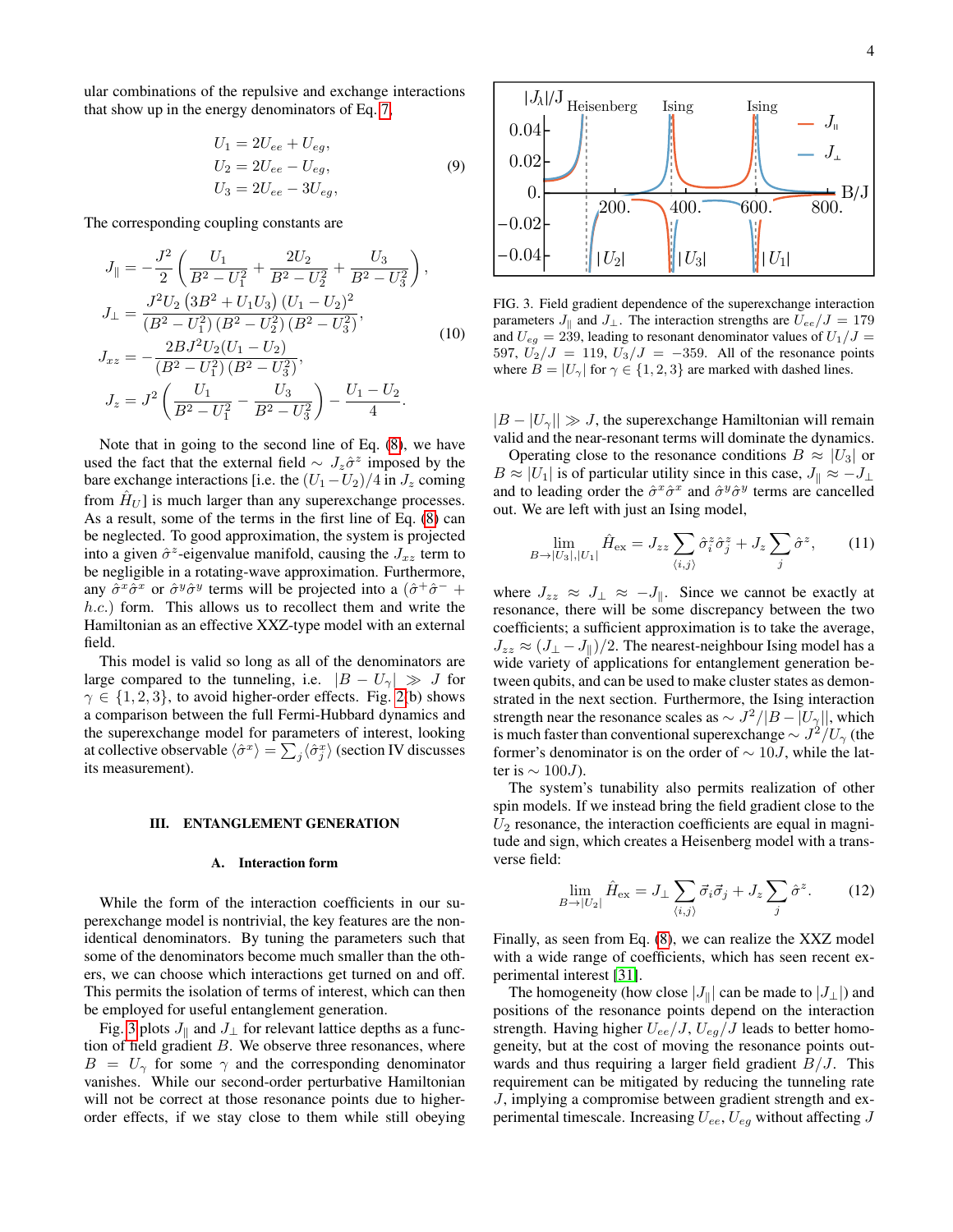ular combinations of the repulsive and exchange interactions that show up in the energy denominators of Eq. [7,](#page-2-3)

<span id="page-3-2"></span>
$$
U_1 = 2U_{ee} + U_{eg},
$$
  
\n
$$
U_2 = 2U_{ee} - U_{eg},
$$
  
\n
$$
U_3 = 2U_{ee} - 3U_{eg},
$$
  
\n(9)

The corresponding coupling constants are

$$
J_{\parallel} = -\frac{J^2}{2} \left( \frac{U_1}{B^2 - U_1^2} + \frac{2U_2}{B^2 - U_2^2} + \frac{U_3}{B^2 - U_3^2} \right),
$$
  
\n
$$
J_{\perp} = \frac{J^2 U_2 \left( 3B^2 + U_1 U_3 \right) (U_1 - U_2)^2}{\left( B^2 - U_1^2 \right) \left( B^2 - U_2^2 \right) \left( B^2 - U_3^2 \right)},
$$
  
\n
$$
J_{xz} = -\frac{2BJ^2 U_2 (U_1 - U_2)}{\left( B^2 - U_1^2 \right) \left( B^2 - U_3^2 \right)},
$$
  
\n
$$
J_z = J^2 \left( \frac{U_1}{B^2 - U_1^2} - \frac{U_3}{B^2 - U_3^2} \right) - \frac{U_1 - U_2}{4}.
$$
  
\n(10)

Note that in going to the second line of Eq. [\(8\)](#page-2-1), we have used the fact that the external field  $\sim J_z \hat{\sigma}^z$  imposed by the bare exchange interactions [i.e. the  $(U_1 - U_2)/4$  in  $J_z$  coming from  $\hat{H}_{U}$  is much larger than any superexchange processes. As a result, some of the terms in the first line of Eq. [\(8\)](#page-2-1) can be neglected. To good approximation, the system is projected into a given  $\hat{\sigma}^z$ -eigenvalue manifold, causing the  $J_{xz}$  term to be negligible in a rotating-wave approximation. Furthermore, any  $\hat{\sigma}^x \hat{\sigma}^x$  or  $\hat{\sigma}^y \hat{\sigma}^y$  terms will be projected into a  $(\hat{\sigma}^+ \hat{\sigma}^-$  + h.c.) form. This allows us to recollect them and write the Hamiltonian as an effective XXZ-type model with an external field.

This model is valid so long as all of the denominators are large compared to the tunneling, i.e.  $|B - U_{\gamma}| \gg J$  for  $\gamma \in \{1, 2, 3\}$ , to avoid higher-order effects. Fig. [2\(](#page-2-2)b) shows a comparison between the full Fermi-Hubbard dynamics and the superexchange model for parameters of interest, looking at collective observable  $\langle \hat{\sigma}^x \rangle = \sum_j \langle \hat{\sigma}^x_j \rangle$  (section IV discusses its measurement).

#### III. ENTANGLEMENT GENERATION

## A. Interaction form

While the form of the interaction coefficients in our superexchange model is nontrivial, the key features are the nonidentical denominators. By tuning the parameters such that some of the denominators become much smaller than the others, we can choose which interactions get turned on and off. This permits the isolation of terms of interest, which can then be employed for useful entanglement generation.

Fig. [3](#page-3-0) plots  $J_{\parallel}$  and  $J_{\perp}$  for relevant lattice depths as a function of field gradient  $B$ . We observe three resonances, where  $B = U_{\gamma}$  for some  $\gamma$  and the corresponding denominator vanishes. While our second-order perturbative Hamiltonian will not be correct at those resonance points due to higherorder effects, if we stay close to them while still obeying



<span id="page-3-0"></span>FIG. 3. Field gradient dependence of the superexchange interaction parameters  $J_{\parallel}$  and  $J_{\perp}$ . The interaction strengths are  $U_{ee}/J = 179$ and  $U_{eg} = 239$ , leading to resonant denominator values of  $U_1/J =$ 597,  $U_2/J = 119$ ,  $U_3/J = -359$ . All of the resonance points where  $B = |U_{\gamma}|$  for  $\gamma \in \{1, 2, 3\}$  are marked with dashed lines.

 $|B - U_{\gamma}|| \gg J$ , the superexchange Hamiltonian will remain valid and the near-resonant terms will dominate the dynamics.

Operating close to the resonance conditions  $B \approx |U_3|$  or  $B \approx |U_1|$  is of particular utility since in this case,  $J_{\parallel} \approx -J_{\perp}$ and to leading order the  $\hat{\sigma}^x \hat{\sigma}^x$  and  $\hat{\sigma}^y \hat{\sigma}^y$  terms are cancelled out. We are left with just an Ising model,

<span id="page-3-1"></span>
$$
\lim_{B \to |U_3|, |U_1|} \hat{H}_{\text{ex}} = J_{zz} \sum_{\langle i,j \rangle} \hat{\sigma}_i^z \hat{\sigma}_j^z + J_z \sum_j \hat{\sigma}^z, \qquad (11)
$$

where  $J_{zz} \approx J_{\perp} \approx -J_{\parallel}$ . Since we cannot be exactly at resonance, there will be some discrepancy between the two coefficients; a sufficient approximation is to take the average,  $J_{zz} \approx (J_{\perp} - J_{\parallel})/2$ . The nearest-neighbour Ising model has a wide variety of applications for entanglement generation between qubits, and can be used to make cluster states as demonstrated in the next section. Furthermore, the Ising interaction strength near the resonance scales as  $\sim J^2/|B - |U_{\gamma}||$ , which is much faster than conventional superexchange  $\sim J^2/U_\gamma$  (the former's denominator is on the order of  $\sim 10J$ , while the latter is  $\sim 100 J$ ).

The system's tunability also permits realization of other spin models. If we instead bring the field gradient close to the  $U_2$  resonance, the interaction coefficients are equal in magnitude and sign, which creates a Heisenberg model with a transverse field:

$$
\lim_{B \to |U_2|} \hat{H}_{\text{ex}} = J_\perp \sum_{\langle i,j \rangle} \vec{\sigma}_i \vec{\sigma}_j + J_z \sum_j \hat{\sigma}^z. \tag{12}
$$

Finally, as seen from Eq. [\(8\)](#page-2-1), we can realize the XXZ model with a wide range of coefficients, which has seen recent experimental interest [\[31\]](#page-8-29).

The homogeneity (how close  $|J_{\parallel}|$  can be made to  $|J_{\perp}|$ ) and positions of the resonance points depend on the interaction strength. Having higher  $U_{ee}/J$ ,  $U_{eg}/J$  leads to better homogeneity, but at the cost of moving the resonance points outwards and thus requiring a larger field gradient  $B/J$ . This requirement can be mitigated by reducing the tunneling rate J, implying a compromise between gradient strength and experimental timescale. Increasing  $U_{ee}$ ,  $U_{eg}$  without affecting J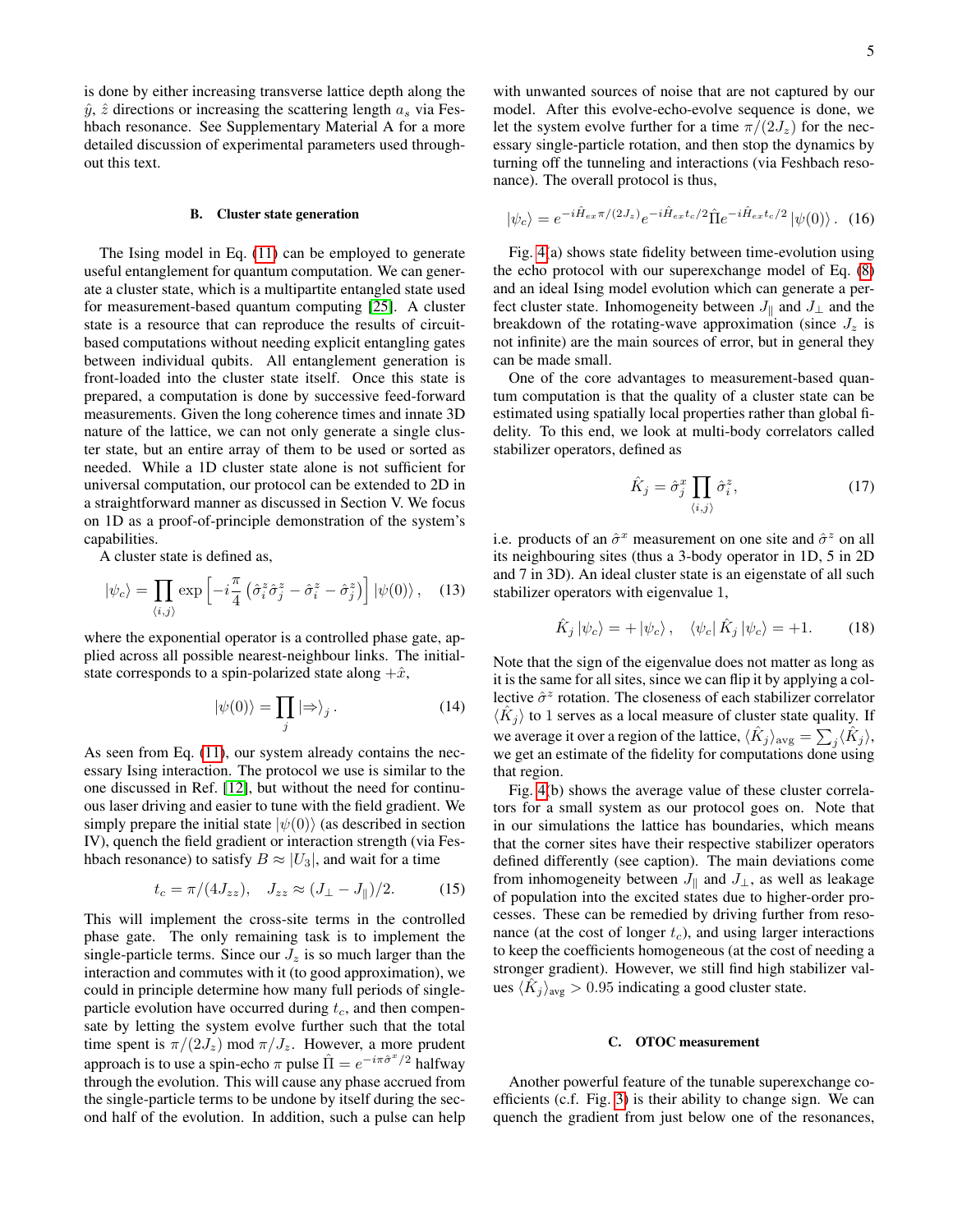is done by either increasing transverse lattice depth along the  $\hat{y}$ ,  $\hat{z}$  directions or increasing the scattering length  $a_s$  via Feshbach resonance. See Supplementary Material A for a more detailed discussion of experimental parameters used throughout this text.

#### B. Cluster state generation

The Ising model in Eq. [\(11\)](#page-3-1) can be employed to generate useful entanglement for quantum computation. We can generate a cluster state, which is a multipartite entangled state used for measurement-based quantum computing [\[25\]](#page-8-23). A cluster state is a resource that can reproduce the results of circuitbased computations without needing explicit entangling gates between individual qubits. All entanglement generation is front-loaded into the cluster state itself. Once this state is prepared, a computation is done by successive feed-forward measurements. Given the long coherence times and innate 3D nature of the lattice, we can not only generate a single cluster state, but an entire array of them to be used or sorted as needed. While a 1D cluster state alone is not sufficient for universal computation, our protocol can be extended to 2D in a straightforward manner as discussed in Section V. We focus on 1D as a proof-of-principle demonstration of the system's capabilities.

A cluster state is defined as,

$$
|\psi_c\rangle = \prod_{\langle i,j\rangle} \exp\left[-i\frac{\pi}{4} \left(\hat{\sigma}_i^z \hat{\sigma}_j^z - \hat{\sigma}_i^z - \hat{\sigma}_j^z\right)\right] |\psi(0)\rangle \,, \quad (13)
$$

where the exponential operator is a controlled phase gate, applied across all possible nearest-neighbour links. The initialstate corresponds to a spin-polarized state along  $+\hat{x}$ ,

$$
|\psi(0)\rangle = \prod_{j} |\Rightarrow\rangle_{j}.
$$
 (14)

As seen from Eq. [\(11\)](#page-3-1), our system already contains the necessary Ising interaction. The protocol we use is similar to the one discussed in Ref. [\[12\]](#page-8-11), but without the need for continuous laser driving and easier to tune with the field gradient. We simply prepare the initial state  $|\psi(0)\rangle$  (as described in section IV), quench the field gradient or interaction strength (via Feshbach resonance) to satisfy  $B \approx |U_3|$ , and wait for a time

$$
t_c = \pi/(4J_{zz}), \quad J_{zz} \approx (J_{\perp} - J_{\parallel})/2.
$$
 (15)

This will implement the cross-site terms in the controlled phase gate. The only remaining task is to implement the single-particle terms. Since our  $J_z$  is so much larger than the interaction and commutes with it (to good approximation), we could in principle determine how many full periods of singleparticle evolution have occurred during  $t_c$ , and then compensate by letting the system evolve further such that the total time spent is  $\pi/(2J_z) \mod \pi/J_z$ . However, a more prudent approach is to use a spin-echo  $\pi$  pulse  $\hat{\Pi} = e^{-i\pi \hat{\sigma}^x/2}$  halfway through the evolution. This will cause any phase accrued from the single-particle terms to be undone by itself during the second half of the evolution. In addition, such a pulse can help with unwanted sources of noise that are not captured by our model. After this evolve-echo-evolve sequence is done, we let the system evolve further for a time  $\pi/(2J_z)$  for the necessary single-particle rotation, and then stop the dynamics by turning off the tunneling and interactions (via Feshbach resonance). The overall protocol is thus,

<span id="page-4-0"></span>
$$
|\psi_c\rangle = e^{-i\hat{H}_{ex}\pi/(2J_z)}e^{-i\hat{H}_{ex}t_c/2}\hat{\Pi}e^{-i\hat{H}_{ex}t_c/2}|\psi(0)\rangle.
$$
 (16)

Fig. [4\(](#page-5-0)a) shows state fidelity between time-evolution using the echo protocol with our superexchange model of Eq. [\(8\)](#page-2-1) and an ideal Ising model evolution which can generate a perfect cluster state. Inhomogeneity between  $J_{\parallel}$  and  $J_{\perp}$  and the breakdown of the rotating-wave approximation (since  $J_z$  is not infinite) are the main sources of error, but in general they can be made small.

One of the core advantages to measurement-based quantum computation is that the quality of a cluster state can be estimated using spatially local properties rather than global fidelity. To this end, we look at multi-body correlators called stabilizer operators, defined as

$$
\hat{K}_j = \hat{\sigma}_j^x \prod_{\langle i,j \rangle} \hat{\sigma}_i^z,\tag{17}
$$

i.e. products of an  $\hat{\sigma}^x$  measurement on one site and  $\hat{\sigma}^z$  on all its neighbouring sites (thus a 3-body operator in 1D, 5 in 2D and 7 in 3D). An ideal cluster state is an eigenstate of all such stabilizer operators with eigenvalue 1,

$$
\hat{K}_j |\psi_c\rangle = + |\psi_c\rangle, \quad \langle \psi_c | \hat{K}_j |\psi_c\rangle = +1. \quad (18)
$$

Note that the sign of the eigenvalue does not matter as long as it is the same for all sites, since we can flip it by applying a collective  $\hat{\sigma}^z$  rotation. The closeness of each stabilizer correlator  $\langle \hat{K}_j \rangle$  to 1 serves as a local measure of cluster state quality. If we average it over a region of the lattice,  $\langle \hat{K}_j \rangle_{\text{avg}} = \sum_j \langle \hat{K}_j \rangle$ , we get an estimate of the fidelity for computations done using that region.

Fig. [4\(](#page-5-0)b) shows the average value of these cluster correlators for a small system as our protocol goes on. Note that in our simulations the lattice has boundaries, which means that the corner sites have their respective stabilizer operators defined differently (see caption). The main deviations come from inhomogeneity between  $J_{\parallel}$  and  $J_{\perp}$ , as well as leakage of population into the excited states due to higher-order processes. These can be remedied by driving further from resonance (at the cost of longer  $t_c$ ), and using larger interactions to keep the coefficients homogeneous (at the cost of needing a stronger gradient). However, we still find high stabilizer values  $\langle \hat{K}_j \rangle_{\text{avg}} > 0.95$  indicating a good cluster state.

## C. OTOC measurement

Another powerful feature of the tunable superexchange coefficients (c.f. Fig. [3\)](#page-3-0) is their ability to change sign. We can quench the gradient from just below one of the resonances,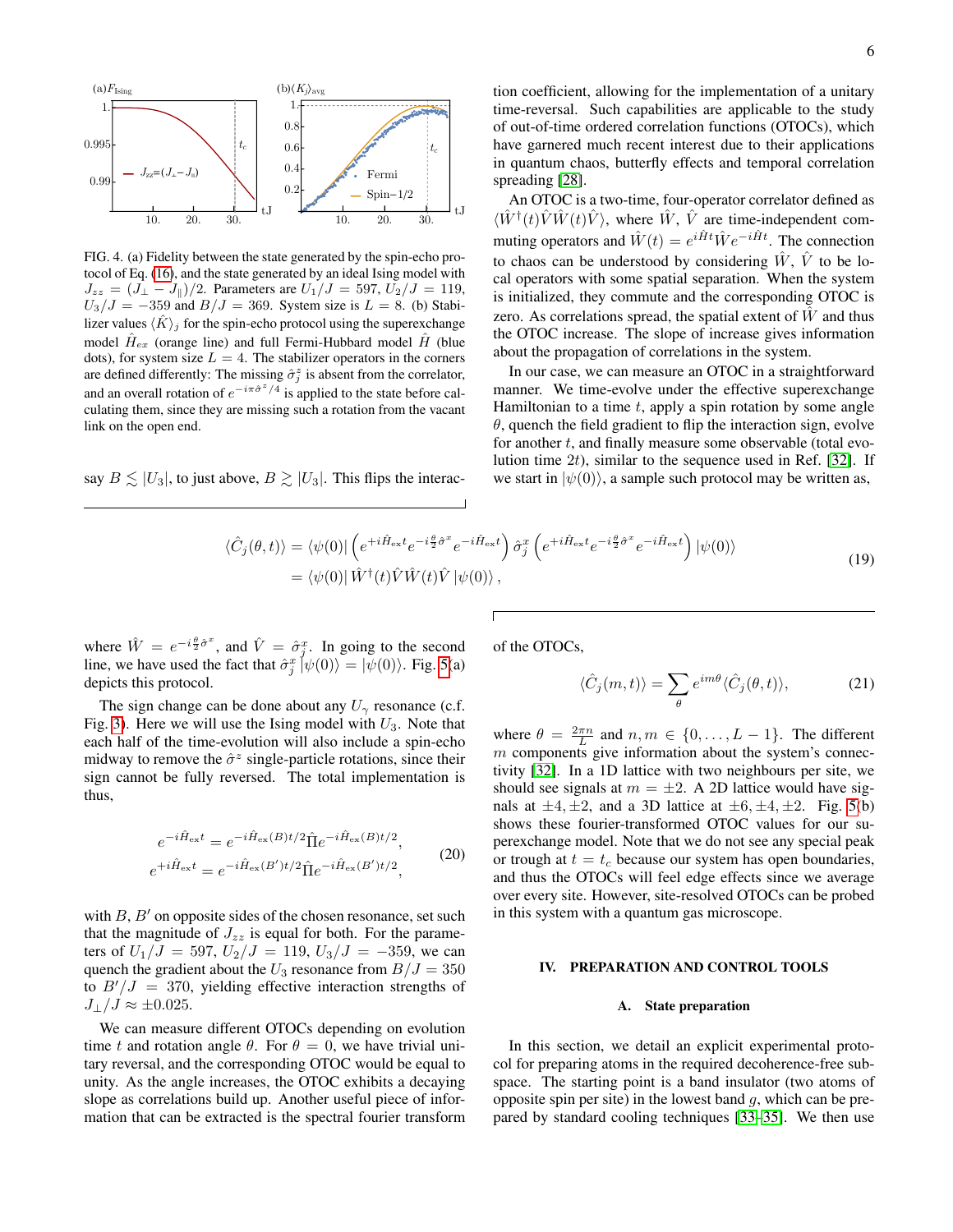

<span id="page-5-0"></span>FIG. 4. (a) Fidelity between the state generated by the spin-echo protocol of Eq. [\(16\)](#page-4-0), and the state generated by an ideal Ising model with  $J_{zz} = (J_{\perp} - J_{\parallel})/2$ . Parameters are  $U_1/J = 597, U_2/J = 119$ ,  $U_3/J = -359$  and  $B/J = 369$ . System size is  $L = 8$ . (b) Stabilizer values  $\langle \hat{K} \rangle_i$  for the spin-echo protocol using the superexchange model  $\hat{H}_{ex}$  (orange line) and full Fermi-Hubbard model  $\hat{H}$  (blue dots), for system size  $L = 4$ . The stabilizer operators in the corners are defined differently: The missing  $\hat{\sigma}_j^z$  is absent from the correlator, and an overall rotation of  $e^{-i\pi \hat{\sigma}^z/4}$  is applied to the state before calculating them, since they are missing such a rotation from the vacant link on the open end.

say  $B \leq |U_3|$ , to just above,  $B \geq |U_3|$ . This flips the interac-

tion coefficient, allowing for the implementation of a unitary time-reversal. Such capabilities are applicable to the study of out-of-time ordered correlation functions (OTOCs), which have garnered much recent interest due to their applications in quantum chaos, butterfly effects and temporal correlation spreading [\[28\]](#page-8-26).

An OTOC is a two-time, four-operator correlator defined as  $\langle \hat{W}^{\dagger}(t)\hat{V}\hat{W}(t)\hat{V} \rangle$ , where  $\hat{W}$ ,  $\hat{V}$  are time-independent commuting operators and  $\hat{W}(t) = e^{i\hat{H}t} \hat{W} e^{-i\hat{H}t}$ . The connection to chaos can be understood by considering  $\hat{W}$ ,  $\hat{V}$  to be local operators with some spatial separation. When the system is initialized, they commute and the corresponding OTOC is zero. As correlations spread, the spatial extent of  $\hat{W}$  and thus the OTOC increase. The slope of increase gives information about the propagation of correlations in the system.

In our case, we can measure an OTOC in a straightforward manner. We time-evolve under the effective superexchange Hamiltonian to a time  $t$ , apply a spin rotation by some angle  $\theta$ , quench the field gradient to flip the interaction sign, evolve for another  $t$ , and finally measure some observable (total evolution time  $2t$ ), similar to the sequence used in Ref. [\[32\]](#page-8-30). If we start in  $|\psi(0)\rangle$ , a sample such protocol may be written as,

<span id="page-5-1"></span>
$$
\langle \hat{C}_j(\theta, t) \rangle = \langle \psi(0) | \left( e^{+i\hat{H}_{\text{ex}}t} e^{-i\frac{\theta}{2}\hat{\sigma}^x} e^{-i\hat{H}_{\text{ex}}t} \right) \hat{\sigma}_j^x \left( e^{+i\hat{H}_{\text{ex}}t} e^{-i\frac{\theta}{2}\hat{\sigma}^x} e^{-i\hat{H}_{\text{ex}}t} \right) |\psi(0) \rangle \n= \langle \psi(0) | \hat{W}^\dagger(t) \hat{V} \hat{W}(t) \hat{V} |\psi(0) \rangle,
$$
\n(19)

where  $\hat{W} = e^{-i\frac{\theta}{2}\hat{\sigma}^x}$ , and  $\hat{V} = \hat{\sigma}_j^x$ . In going to the second line, we have used the fact that  $\hat{\sigma}_j^x \left[ \psi(0) \right] = |\psi(0) \rangle$ . Fig. [5\(](#page-6-0)a) depicts this protocol.

The sign change can be done about any  $U_{\gamma}$  resonance (c.f. Fig. [3\)](#page-3-0). Here we will use the Ising model with  $U_3$ . Note that each half of the time-evolution will also include a spin-echo midway to remove the  $\hat{\sigma}^z$  single-particle rotations, since their sign cannot be fully reversed. The total implementation is thus,

$$
e^{-i\hat{H}_{\text{ex}}t} = e^{-i\hat{H}_{\text{ex}}(B)t/2} \hat{\Pi}e^{-i\hat{H}_{\text{ex}}(B)t/2},
$$
  
\n
$$
e^{+i\hat{H}_{\text{ex}}t} = e^{-i\hat{H}_{\text{ex}}(B')t/2} \hat{\Pi}e^{-i\hat{H}_{\text{ex}}(B')t/2},
$$
\n(20)

with  $B, B'$  on opposite sides of the chosen resonance, set such that the magnitude of  $J_{zz}$  is equal for both. For the parameters of  $U_1/J = 597$ ,  $U_2/J = 119$ ,  $U_3/J = -359$ , we can quench the gradient about the  $U_3$  resonance from  $B/J = 350$ to  $B'/J = 370$ , yielding effective interaction strengths of  $J_{\perp}/J \approx \pm 0.025$ .

We can measure different OTOCs depending on evolution time t and rotation angle  $\theta$ . For  $\theta = 0$ , we have trivial unitary reversal, and the corresponding OTOC would be equal to unity. As the angle increases, the OTOC exhibits a decaying slope as correlations build up. Another useful piece of information that can be extracted is the spectral fourier transform of the OTOCs,

<span id="page-5-2"></span>
$$
\langle \hat{C}_j(m,t) \rangle = \sum_{\theta} e^{im\theta} \langle \hat{C}_j(\theta, t) \rangle, \tag{21}
$$

where  $\theta = \frac{2\pi n}{L}$  and  $n, m \in \{0, \dots, L-1\}$ . The different  $m$  components give information about the system's connectivity [\[32\]](#page-8-30). In a 1D lattice with two neighbours per site, we should see signals at  $m = \pm 2$ . A 2D lattice would have signals at  $\pm 4, \pm 2$ , and a 3D lattice at  $\pm 6, \pm 4, \pm 2$ . Fig. [5\(](#page-6-0)b) shows these fourier-transformed OTOC values for our superexchange model. Note that we do not see any special peak or trough at  $t = t_c$  because our system has open boundaries, and thus the OTOCs will feel edge effects since we average over every site. However, site-resolved OTOCs can be probed in this system with a quantum gas microscope.

#### IV. PREPARATION AND CONTROL TOOLS

#### A. State preparation

In this section, we detail an explicit experimental protocol for preparing atoms in the required decoherence-free subspace. The starting point is a band insulator (two atoms of opposite spin per site) in the lowest band  $q$ , which can be prepared by standard cooling techniques [\[33](#page-8-31)[–35\]](#page-9-0). We then use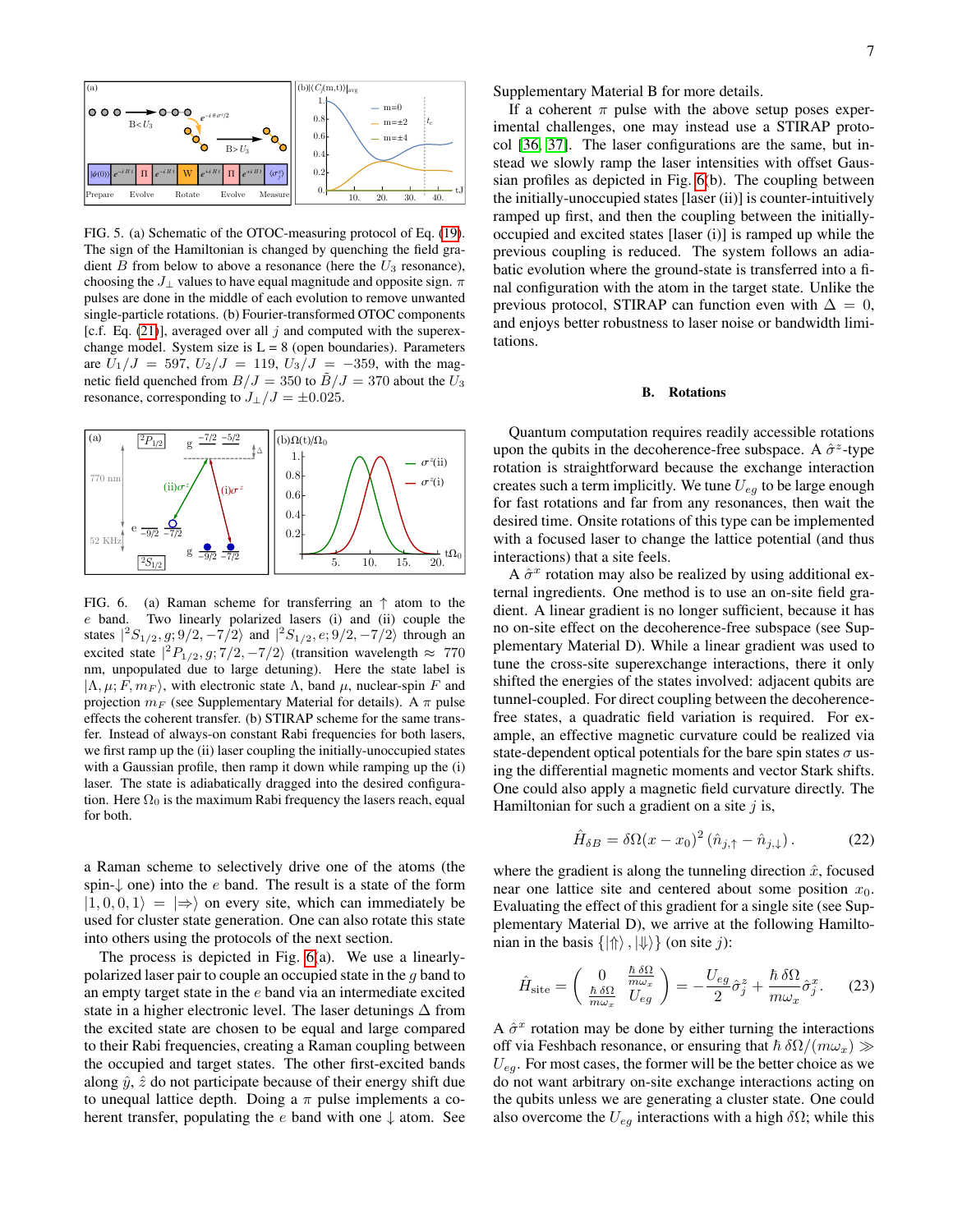

<span id="page-6-0"></span>FIG. 5. (a) Schematic of the OTOC-measuring protocol of Eq. [\(19\)](#page-5-1). The sign of the Hamiltonian is changed by quenching the field gradient  $B$  from below to above a resonance (here the  $U_3$  resonance), choosing the  $J_{\perp}$  values to have equal magnitude and opposite sign.  $\pi$ pulses are done in the middle of each evolution to remove unwanted single-particle rotations. (b) Fourier-transformed OTOC components [c.f. Eq. [\(21\)](#page-5-2)], averaged over all j and computed with the superexchange model. System size is  $L = 8$  (open boundaries). Parameters are  $U_1/J = 597$ ,  $U_2/J = 119$ ,  $U_3/J = -359$ , with the magnetic field quenched from  $B/J = 350$  to  $\tilde{B}/J = 370$  about the  $U_3$ resonance, corresponding to  $J_{\perp}/J = \pm 0.025$ .



<span id="page-6-1"></span>FIG. 6. (a) Raman scheme for transferring an  $\uparrow$  atom to the e band. Two linearly polarized lasers (i) and (ii) couple the states  $|{}^2S_{1/2}, g; 9/2, -7/2\rangle$  and  $|{}^2S_{1/2}, e; 9/2, -7/2\rangle$  through an excited state  $|^{2}P_{1/2}, g; 7/2, -7/2\rangle$  (transition wavelength  $\approx 770$ nm, unpopulated due to large detuning). Here the state label is  $|\Lambda, \mu; F, m_F \rangle$ , with electronic state  $\Lambda$ , band  $\mu$ , nuclear-spin F and projection  $m_F$  (see Supplementary Material for details). A  $\pi$  pulse effects the coherent transfer. (b) STIRAP scheme for the same transfer. Instead of always-on constant Rabi frequencies for both lasers, we first ramp up the (ii) laser coupling the initially-unoccupied states with a Gaussian profile, then ramp it down while ramping up the (i) laser. The state is adiabatically dragged into the desired configuration. Here  $\Omega_0$  is the maximum Rabi frequency the lasers reach, equal for both.

a Raman scheme to selectively drive one of the atoms (the spin- $\downarrow$  one) into the e band. The result is a state of the form  $|1, 0, 0, 1\rangle = |\Rightarrow$  on every site, which can immediately be used for cluster state generation. One can also rotate this state into others using the protocols of the next section.

The process is depicted in Fig. [6\(](#page-6-1)a). We use a linearlypolarized laser pair to couple an occupied state in the g band to an empty target state in the e band via an intermediate excited state in a higher electronic level. The laser detunings  $\Delta$  from the excited state are chosen to be equal and large compared to their Rabi frequencies, creating a Raman coupling between the occupied and target states. The other first-excited bands along  $\hat{y}$ ,  $\hat{z}$  do not participate because of their energy shift due to unequal lattice depth. Doing a  $\pi$  pulse implements a coherent transfer, populating the e band with one  $\downarrow$  atom. See Supplementary Material B for more details.

If a coherent  $\pi$  pulse with the above setup poses experimental challenges, one may instead use a STIRAP protocol [\[36,](#page-9-1) [37\]](#page-9-2). The laser configurations are the same, but instead we slowly ramp the laser intensities with offset Gaussian profiles as depicted in Fig. [6\(](#page-6-1)b). The coupling between the initially-unoccupied states [laser (ii)] is counter-intuitively ramped up first, and then the coupling between the initiallyoccupied and excited states [laser (i)] is ramped up while the previous coupling is reduced. The system follows an adiabatic evolution where the ground-state is transferred into a final configuration with the atom in the target state. Unlike the previous protocol, STIRAP can function even with  $\Delta = 0$ , and enjoys better robustness to laser noise or bandwidth limitations.

#### B. Rotations

Quantum computation requires readily accessible rotations upon the qubits in the decoherence-free subspace. A  $\hat{\sigma}^z$ -type rotation is straightforward because the exchange interaction creates such a term implicitly. We tune  $U_{eg}$  to be large enough for fast rotations and far from any resonances, then wait the desired time. Onsite rotations of this type can be implemented with a focused laser to change the lattice potential (and thus interactions) that a site feels.

A  $\hat{\sigma}^x$  rotation may also be realized by using additional external ingredients. One method is to use an on-site field gradient. A linear gradient is no longer sufficient, because it has no on-site effect on the decoherence-free subspace (see Supplementary Material D). While a linear gradient was used to tune the cross-site superexchange interactions, there it only shifted the energies of the states involved: adjacent qubits are tunnel-coupled. For direct coupling between the decoherencefree states, a quadratic field variation is required. For example, an effective magnetic curvature could be realized via state-dependent optical potentials for the bare spin states  $\sigma$  using the differential magnetic moments and vector Stark shifts. One could also apply a magnetic field curvature directly. The Hamiltonian for such a gradient on a site  $j$  is,

$$
\hat{H}_{\delta B} = \delta \Omega (x - x_0)^2 \left( \hat{n}_{j,\uparrow} - \hat{n}_{j,\downarrow} \right). \tag{22}
$$

where the gradient is along the tunneling direction  $\hat{x}$ , focused near one lattice site and centered about some position  $x_0$ . Evaluating the effect of this gradient for a single site (see Supplementary Material D), we arrive at the following Hamiltonian in the basis  $\{|\Uparrow\rangle, |\Downarrow\rangle\}$  (on site j):

<span id="page-6-2"></span>
$$
\hat{H}_{\text{site}} = \begin{pmatrix} 0 & \frac{\hbar \,\delta\Omega}{m\omega_x} \\ \frac{\hbar \,\delta\Omega}{m\omega_x} & U_{eg} \end{pmatrix} = -\frac{U_{eg}}{2}\hat{\sigma}_j^z + \frac{\hbar \,\delta\Omega}{m\omega_x}\hat{\sigma}_j^x. \tag{23}
$$

A  $\hat{\sigma}^x$  rotation may be done by either turning the interactions off via Feshbach resonance, or ensuring that  $\hbar \delta \Omega/(m\omega_x) \gg$  $U_{ea}$ . For most cases, the former will be the better choice as we do not want arbitrary on-site exchange interactions acting on the qubits unless we are generating a cluster state. One could also overcome the  $U_{eq}$  interactions with a high  $\delta\Omega$ ; while this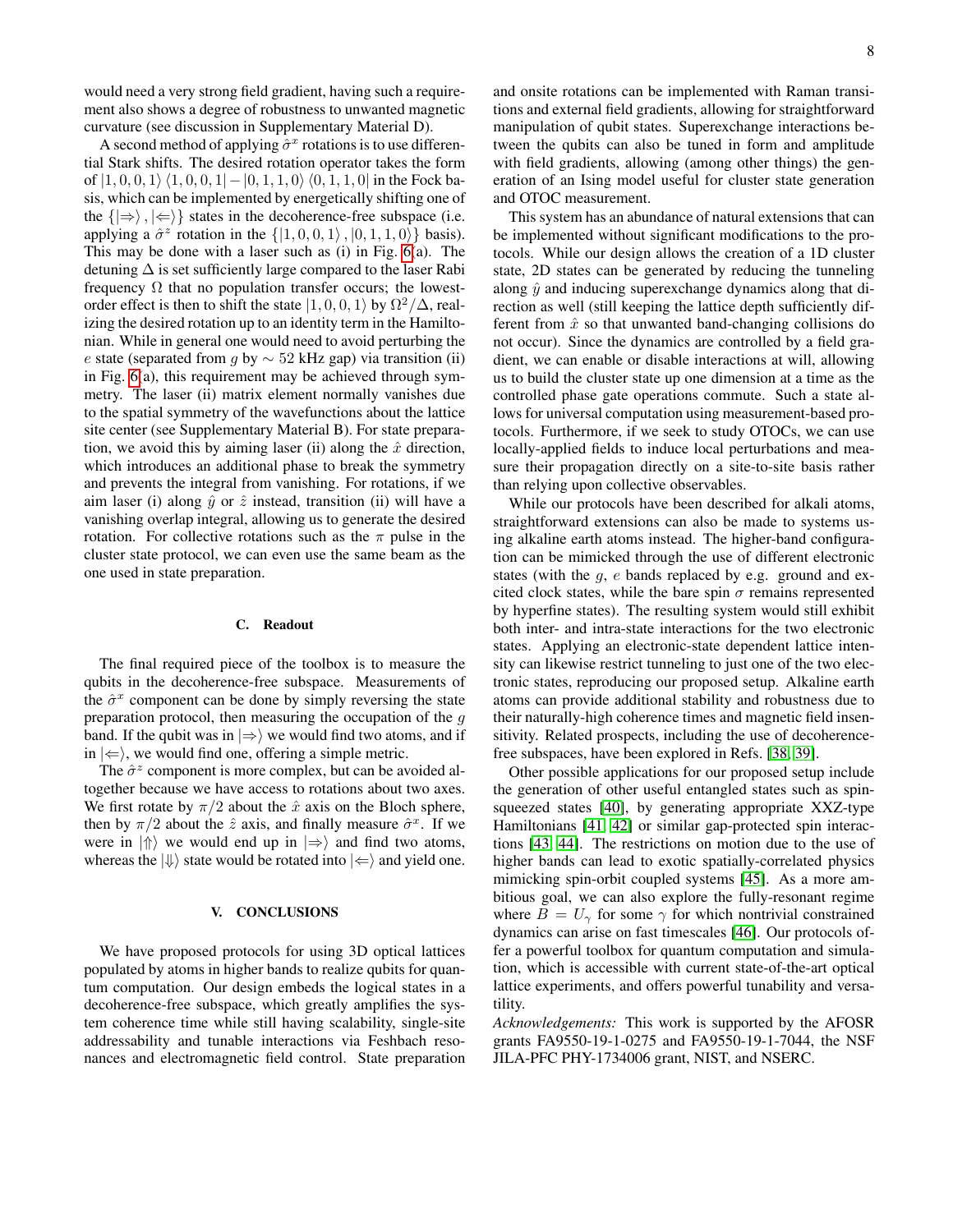would need a very strong field gradient, having such a requirement also shows a degree of robustness to unwanted magnetic curvature (see discussion in Supplementary Material D).

A second method of applying  $\hat{\sigma}^x$  rotations is to use differential Stark shifts. The desired rotation operator takes the form of  $|1, 0, 0, 1\rangle$   $\langle 1, 0, 0, 1| - |0, 1, 1, 0\rangle$   $\langle 0, 1, 1, 0|$  in the Fock basis, which can be implemented by energetically shifting one of the  $\{|\Rightarrow\rangle, |\Leftarrow\rangle\}$  states in the decoherence-free subspace (i.e. applying a  $\hat{\sigma}^z$  rotation in the  $\{ |1, 0, 0, 1 \rangle, |0, 1, 1, 0 \rangle \}$  basis). This may be done with a laser such as (i) in Fig. [6\(](#page-6-1)a). The detuning  $\Delta$  is set sufficiently large compared to the laser Rabi frequency  $\Omega$  that no population transfer occurs; the lowestorder effect is then to shift the state  $|1, 0, 0, 1\rangle$  by  $\Omega^2/\Delta$ , realizing the desired rotation up to an identity term in the Hamiltonian. While in general one would need to avoid perturbing the e state (separated from g by  $\sim$  52 kHz gap) via transition (ii) in Fig. [6\(](#page-6-1)a), this requirement may be achieved through symmetry. The laser (ii) matrix element normally vanishes due to the spatial symmetry of the wavefunctions about the lattice site center (see Supplementary Material B). For state preparation, we avoid this by aiming laser (ii) along the  $\hat{x}$  direction, which introduces an additional phase to break the symmetry and prevents the integral from vanishing. For rotations, if we aim laser (i) along  $\hat{y}$  or  $\hat{z}$  instead, transition (ii) will have a vanishing overlap integral, allowing us to generate the desired rotation. For collective rotations such as the  $\pi$  pulse in the cluster state protocol, we can even use the same beam as the one used in state preparation.

## C. Readout

The final required piece of the toolbox is to measure the qubits in the decoherence-free subspace. Measurements of the  $\hat{\sigma}^x$  component can be done by simply reversing the state preparation protocol, then measuring the occupation of the  $q$ band. If the qubit was in  $\ket{\Rightarrow}$  we would find two atoms, and if in  $|\Leftarrow\rangle$ , we would find one, offering a simple metric.

The  $\hat{\sigma}^z$  component is more complex, but can be avoided altogether because we have access to rotations about two axes. We first rotate by  $\pi/2$  about the  $\hat{x}$  axis on the Bloch sphere, then by  $\pi/2$  about the  $\hat{z}$  axis, and finally measure  $\hat{\sigma}^x$ . If we were in  $|\Uparrow\rangle$  we would end up in  $|\Rightarrow\rangle$  and find two atoms, whereas the  $|\Downarrow\rangle$  state would be rotated into  $|\Leftarrow\rangle$  and yield one.

## V. CONCLUSIONS

We have proposed protocols for using 3D optical lattices populated by atoms in higher bands to realize qubits for quantum computation. Our design embeds the logical states in a decoherence-free subspace, which greatly amplifies the system coherence time while still having scalability, single-site addressability and tunable interactions via Feshbach resonances and electromagnetic field control. State preparation and onsite rotations can be implemented with Raman transitions and external field gradients, allowing for straightforward manipulation of qubit states. Superexchange interactions between the qubits can also be tuned in form and amplitude with field gradients, allowing (among other things) the generation of an Ising model useful for cluster state generation and OTOC measurement.

This system has an abundance of natural extensions that can be implemented without significant modifications to the protocols. While our design allows the creation of a 1D cluster state, 2D states can be generated by reducing the tunneling along  $\hat{y}$  and inducing superexchange dynamics along that direction as well (still keeping the lattice depth sufficiently different from  $\hat{x}$  so that unwanted band-changing collisions do not occur). Since the dynamics are controlled by a field gradient, we can enable or disable interactions at will, allowing us to build the cluster state up one dimension at a time as the controlled phase gate operations commute. Such a state allows for universal computation using measurement-based protocols. Furthermore, if we seek to study OTOCs, we can use locally-applied fields to induce local perturbations and measure their propagation directly on a site-to-site basis rather than relying upon collective observables.

While our protocols have been described for alkali atoms, straightforward extensions can also be made to systems using alkaline earth atoms instead. The higher-band configuration can be mimicked through the use of different electronic states (with the  $q$ ,  $e$  bands replaced by e.g. ground and excited clock states, while the bare spin  $\sigma$  remains represented by hyperfine states). The resulting system would still exhibit both inter- and intra-state interactions for the two electronic states. Applying an electronic-state dependent lattice intensity can likewise restrict tunneling to just one of the two electronic states, reproducing our proposed setup. Alkaline earth atoms can provide additional stability and robustness due to their naturally-high coherence times and magnetic field insensitivity. Related prospects, including the use of decoherencefree subspaces, have been explored in Refs. [\[38,](#page-9-3) [39\]](#page-9-4).

Other possible applications for our proposed setup include the generation of other useful entangled states such as spinsqueezed states [\[40\]](#page-9-5), by generating appropriate XXZ-type Hamiltonians [\[41,](#page-9-6) [42\]](#page-9-7) or similar gap-protected spin interactions [\[43,](#page-9-8) [44\]](#page-9-9). The restrictions on motion due to the use of higher bands can lead to exotic spatially-correlated physics mimicking spin-orbit coupled systems [\[45\]](#page-9-10). As a more ambitious goal, we can also explore the fully-resonant regime where  $B = U_{\gamma}$  for some  $\gamma$  for which nontrivial constrained dynamics can arise on fast timescales [\[46\]](#page-9-11). Our protocols offer a powerful toolbox for quantum computation and simulation, which is accessible with current state-of-the-art optical lattice experiments, and offers powerful tunability and versatility.

*Acknowledgements:* This work is supported by the AFOSR grants FA9550-19-1-0275 and FA9550-19-1-7044, the NSF JILA-PFC PHY-1734006 grant, NIST, and NSERC.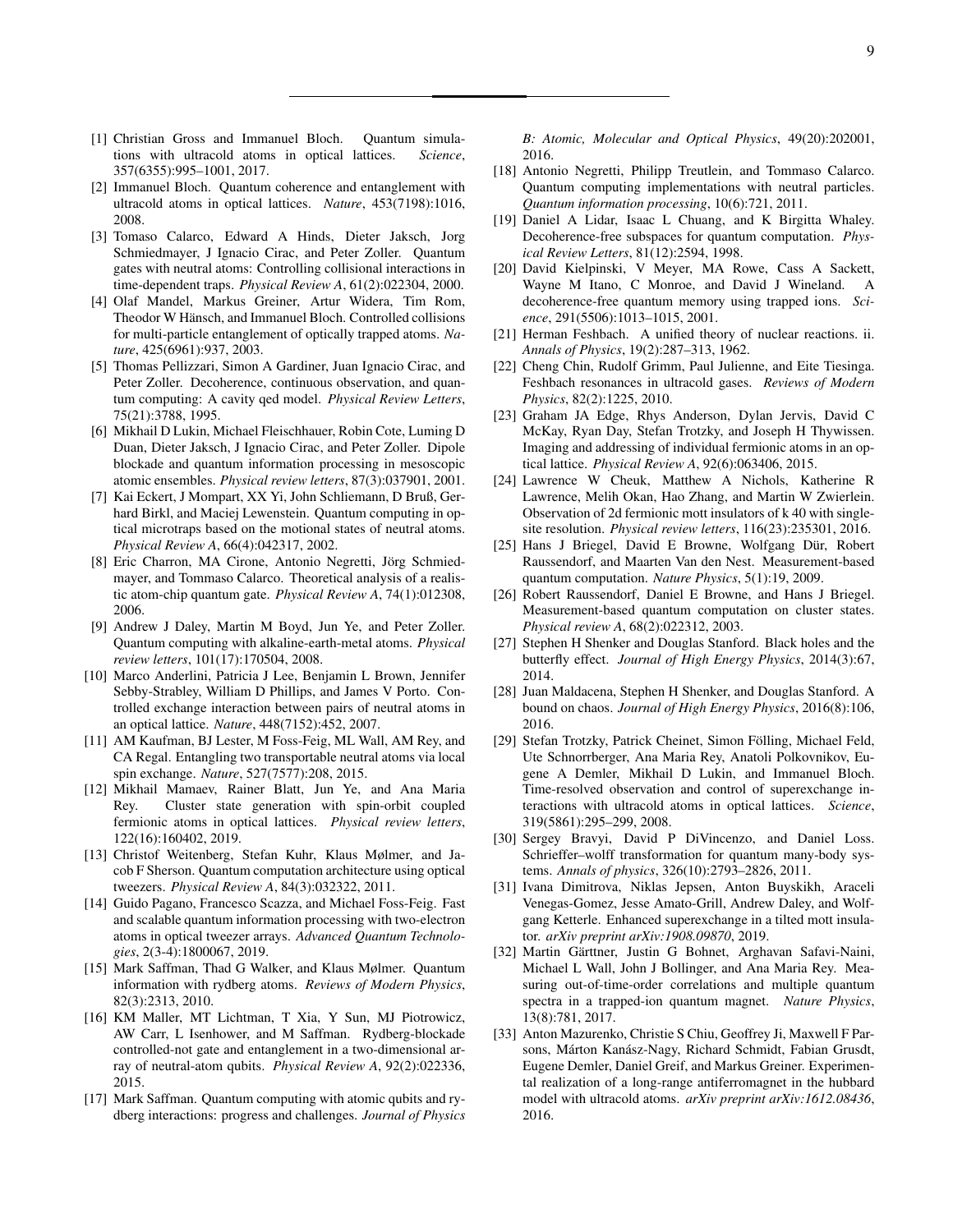- <span id="page-8-0"></span>[1] Christian Gross and Immanuel Bloch. Quantum simulations with ultracold atoms in optical lattices. *Science*, 357(6355):995–1001, 2017.
- <span id="page-8-1"></span>[2] Immanuel Bloch. Quantum coherence and entanglement with ultracold atoms in optical lattices. *Nature*, 453(7198):1016, 2008.
- <span id="page-8-2"></span>[3] Tomaso Calarco, Edward A Hinds, Dieter Jaksch, Jorg Schmiedmayer, J Ignacio Cirac, and Peter Zoller. Quantum gates with neutral atoms: Controlling collisional interactions in time-dependent traps. *Physical Review A*, 61(2):022304, 2000.
- <span id="page-8-3"></span>[4] Olaf Mandel, Markus Greiner, Artur Widera, Tim Rom, Theodor W Hänsch, and Immanuel Bloch. Controlled collisions for multi-particle entanglement of optically trapped atoms. *Nature*, 425(6961):937, 2003.
- <span id="page-8-4"></span>[5] Thomas Pellizzari, Simon A Gardiner, Juan Ignacio Cirac, and Peter Zoller. Decoherence, continuous observation, and quantum computing: A cavity qed model. *Physical Review Letters*, 75(21):3788, 1995.
- <span id="page-8-5"></span>[6] Mikhail D Lukin, Michael Fleischhauer, Robin Cote, Luming D Duan, Dieter Jaksch, J Ignacio Cirac, and Peter Zoller. Dipole blockade and quantum information processing in mesoscopic atomic ensembles. *Physical review letters*, 87(3):037901, 2001.
- <span id="page-8-6"></span>[7] Kai Eckert, J Mompart, XX Yi, John Schliemann, D Bruß, Gerhard Birkl, and Maciej Lewenstein. Quantum computing in optical microtraps based on the motional states of neutral atoms. *Physical Review A*, 66(4):042317, 2002.
- <span id="page-8-7"></span>[8] Eric Charron, MA Cirone, Antonio Negretti, Jörg Schmiedmayer, and Tommaso Calarco. Theoretical analysis of a realistic atom-chip quantum gate. *Physical Review A*, 74(1):012308, 2006.
- <span id="page-8-8"></span>[9] Andrew J Daley, Martin M Boyd, Jun Ye, and Peter Zoller. Quantum computing with alkaline-earth-metal atoms. *Physical review letters*, 101(17):170504, 2008.
- <span id="page-8-9"></span>[10] Marco Anderlini, Patricia J Lee, Benjamin L Brown, Jennifer Sebby-Strabley, William D Phillips, and James V Porto. Controlled exchange interaction between pairs of neutral atoms in an optical lattice. *Nature*, 448(7152):452, 2007.
- <span id="page-8-10"></span>[11] AM Kaufman, BJ Lester, M Foss-Feig, ML Wall, AM Rey, and CA Regal. Entangling two transportable neutral atoms via local spin exchange. *Nature*, 527(7577):208, 2015.
- <span id="page-8-11"></span>[12] Mikhail Mamaev, Rainer Blatt, Jun Ye, and Ana Maria Rey. Cluster state generation with spin-orbit coupled fermionic atoms in optical lattices. *Physical review letters*, 122(16):160402, 2019.
- <span id="page-8-12"></span>[13] Christof Weitenberg, Stefan Kuhr, Klaus Mølmer, and Jacob F Sherson. Quantum computation architecture using optical tweezers. *Physical Review A*, 84(3):032322, 2011.
- <span id="page-8-13"></span>[14] Guido Pagano, Francesco Scazza, and Michael Foss-Feig. Fast and scalable quantum information processing with two-electron atoms in optical tweezer arrays. *Advanced Quantum Technologies*, 2(3-4):1800067, 2019.
- <span id="page-8-14"></span>[15] Mark Saffman, Thad G Walker, and Klaus Mølmer. Quantum information with rydberg atoms. *Reviews of Modern Physics*, 82(3):2313, 2010.
- [16] KM Maller, MT Lichtman, T Xia, Y Sun, MJ Piotrowicz, AW Carr, L Isenhower, and M Saffman. Rydberg-blockade controlled-not gate and entanglement in a two-dimensional array of neutral-atom qubits. *Physical Review A*, 92(2):022336, 2015.
- <span id="page-8-15"></span>[17] Mark Saffman. Quantum computing with atomic qubits and rydberg interactions: progress and challenges. *Journal of Physics*

*B: Atomic, Molecular and Optical Physics*, 49(20):202001, 2016.

- <span id="page-8-16"></span>[18] Antonio Negretti, Philipp Treutlein, and Tommaso Calarco. Quantum computing implementations with neutral particles. *Quantum information processing*, 10(6):721, 2011.
- <span id="page-8-17"></span>[19] Daniel A Lidar, Isaac L Chuang, and K Birgitta Whaley. Decoherence-free subspaces for quantum computation. *Physical Review Letters*, 81(12):2594, 1998.
- <span id="page-8-18"></span>[20] David Kielpinski, V Meyer, MA Rowe, Cass A Sackett, Wayne M Itano, C Monroe, and David J Wineland. A decoherence-free quantum memory using trapped ions. *Science*, 291(5506):1013–1015, 2001.
- <span id="page-8-19"></span>[21] Herman Feshbach. A unified theory of nuclear reactions. ii. *Annals of Physics*, 19(2):287–313, 1962.
- <span id="page-8-20"></span>[22] Cheng Chin, Rudolf Grimm, Paul Julienne, and Eite Tiesinga. Feshbach resonances in ultracold gases. *Reviews of Modern Physics*, 82(2):1225, 2010.
- <span id="page-8-21"></span>[23] Graham JA Edge, Rhys Anderson, Dylan Jervis, David C McKay, Ryan Day, Stefan Trotzky, and Joseph H Thywissen. Imaging and addressing of individual fermionic atoms in an optical lattice. *Physical Review A*, 92(6):063406, 2015.
- <span id="page-8-22"></span>[24] Lawrence W Cheuk, Matthew A Nichols, Katherine R Lawrence, Melih Okan, Hao Zhang, and Martin W Zwierlein. Observation of 2d fermionic mott insulators of k 40 with singlesite resolution. *Physical review letters*, 116(23):235301, 2016.
- <span id="page-8-23"></span>[25] Hans J Briegel, David E Browne, Wolfgang Dür, Robert Raussendorf, and Maarten Van den Nest. Measurement-based quantum computation. *Nature Physics*, 5(1):19, 2009.
- <span id="page-8-24"></span>[26] Robert Raussendorf, Daniel E Browne, and Hans J Briegel. Measurement-based quantum computation on cluster states. *Physical review A*, 68(2):022312, 2003.
- <span id="page-8-25"></span>[27] Stephen H Shenker and Douglas Stanford. Black holes and the butterfly effect. *Journal of High Energy Physics*, 2014(3):67, 2014.
- <span id="page-8-26"></span>[28] Juan Maldacena, Stephen H Shenker, and Douglas Stanford. A bound on chaos. *Journal of High Energy Physics*, 2016(8):106, 2016.
- <span id="page-8-27"></span>[29] Stefan Trotzky, Patrick Cheinet, Simon Fölling, Michael Feld, Ute Schnorrberger, Ana Maria Rey, Anatoli Polkovnikov, Eugene A Demler, Mikhail D Lukin, and Immanuel Bloch. Time-resolved observation and control of superexchange interactions with ultracold atoms in optical lattices. *Science*, 319(5861):295–299, 2008.
- <span id="page-8-28"></span>[30] Sergey Bravyi, David P DiVincenzo, and Daniel Loss. Schrieffer–wolff transformation for quantum many-body systems. *Annals of physics*, 326(10):2793–2826, 2011.
- <span id="page-8-29"></span>[31] Ivana Dimitrova, Niklas Jepsen, Anton Buyskikh, Araceli Venegas-Gomez, Jesse Amato-Grill, Andrew Daley, and Wolfgang Ketterle. Enhanced superexchange in a tilted mott insulator. *arXiv preprint arXiv:1908.09870*, 2019.
- <span id="page-8-30"></span>[32] Martin Gärttner, Justin G Bohnet, Arghavan Safavi-Naini, Michael L Wall, John J Bollinger, and Ana Maria Rey. Measuring out-of-time-order correlations and multiple quantum spectra in a trapped-ion quantum magnet. *Nature Physics*, 13(8):781, 2017.
- <span id="page-8-31"></span>[33] Anton Mazurenko, Christie S Chiu, Geoffrey Ji, Maxwell F Parsons, Márton Kanász-Nagy, Richard Schmidt, Fabian Grusdt, Eugene Demler, Daniel Greif, and Markus Greiner. Experimental realization of a long-range antiferromagnet in the hubbard model with ultracold atoms. *arXiv preprint arXiv:1612.08436*, 2016.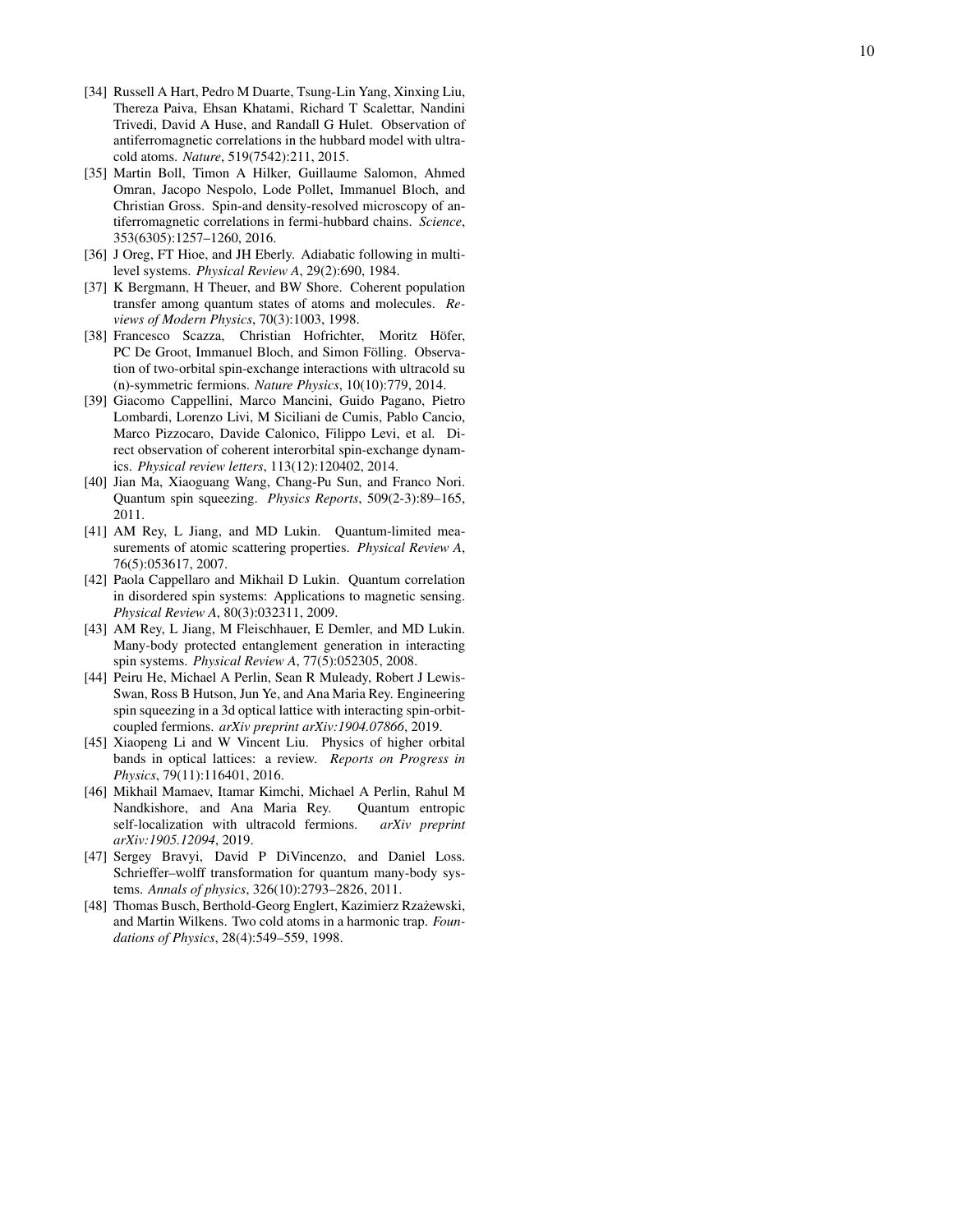- [34] Russell A Hart, Pedro M Duarte, Tsung-Lin Yang, Xinxing Liu, Thereza Paiva, Ehsan Khatami, Richard T Scalettar, Nandini Trivedi, David A Huse, and Randall G Hulet. Observation of antiferromagnetic correlations in the hubbard model with ultracold atoms. *Nature*, 519(7542):211, 2015.
- <span id="page-9-0"></span>[35] Martin Boll, Timon A Hilker, Guillaume Salomon, Ahmed Omran, Jacopo Nespolo, Lode Pollet, Immanuel Bloch, and Christian Gross. Spin-and density-resolved microscopy of antiferromagnetic correlations in fermi-hubbard chains. *Science*, 353(6305):1257–1260, 2016.
- <span id="page-9-1"></span>[36] J Oreg, FT Hioe, and JH Eberly. Adiabatic following in multilevel systems. *Physical Review A*, 29(2):690, 1984.
- <span id="page-9-2"></span>[37] K Bergmann, H Theuer, and BW Shore. Coherent population transfer among quantum states of atoms and molecules. *Reviews of Modern Physics*, 70(3):1003, 1998.
- <span id="page-9-3"></span>[38] Francesco Scazza, Christian Hofrichter, Moritz Höfer, PC De Groot, Immanuel Bloch, and Simon Fölling. Observation of two-orbital spin-exchange interactions with ultracold su (n)-symmetric fermions. *Nature Physics*, 10(10):779, 2014.
- <span id="page-9-4"></span>[39] Giacomo Cappellini, Marco Mancini, Guido Pagano, Pietro Lombardi, Lorenzo Livi, M Siciliani de Cumis, Pablo Cancio, Marco Pizzocaro, Davide Calonico, Filippo Levi, et al. Direct observation of coherent interorbital spin-exchange dynamics. *Physical review letters*, 113(12):120402, 2014.
- <span id="page-9-5"></span>[40] Jian Ma, Xiaoguang Wang, Chang-Pu Sun, and Franco Nori. Quantum spin squeezing. *Physics Reports*, 509(2-3):89–165, 2011.
- <span id="page-9-6"></span>[41] AM Rey, L Jiang, and MD Lukin. Quantum-limited measurements of atomic scattering properties. *Physical Review A*, 76(5):053617, 2007.
- <span id="page-9-7"></span>[42] Paola Cappellaro and Mikhail D Lukin. Quantum correlation in disordered spin systems: Applications to magnetic sensing. *Physical Review A*, 80(3):032311, 2009.
- <span id="page-9-8"></span>[43] AM Rey, L Jiang, M Fleischhauer, E Demler, and MD Lukin. Many-body protected entanglement generation in interacting spin systems. *Physical Review A*, 77(5):052305, 2008.
- <span id="page-9-9"></span>[44] Peiru He, Michael A Perlin, Sean R Muleady, Robert J Lewis-Swan, Ross B Hutson, Jun Ye, and Ana Maria Rey. Engineering spin squeezing in a 3d optical lattice with interacting spin-orbitcoupled fermions. *arXiv preprint arXiv:1904.07866*, 2019.
- <span id="page-9-10"></span>[45] Xiaopeng Li and W Vincent Liu. Physics of higher orbital bands in optical lattices: a review. *Reports on Progress in Physics*, 79(11):116401, 2016.
- <span id="page-9-11"></span>[46] Mikhail Mamaev, Itamar Kimchi, Michael A Perlin, Rahul M Nandkishore, and Ana Maria Rey. Quantum entropic self-localization with ultracold fermions. *arXiv preprint arXiv:1905.12094*, 2019.
- <span id="page-9-12"></span>[47] Sergey Bravyi, David P DiVincenzo, and Daniel Loss. Schrieffer–wolff transformation for quantum many-body systems. *Annals of physics*, 326(10):2793–2826, 2011.
- <span id="page-9-13"></span>[48] Thomas Busch, Berthold-Georg Englert, Kazimierz Rzażewski, and Martin Wilkens. Two cold atoms in a harmonic trap. *Foundations of Physics*, 28(4):549–559, 1998.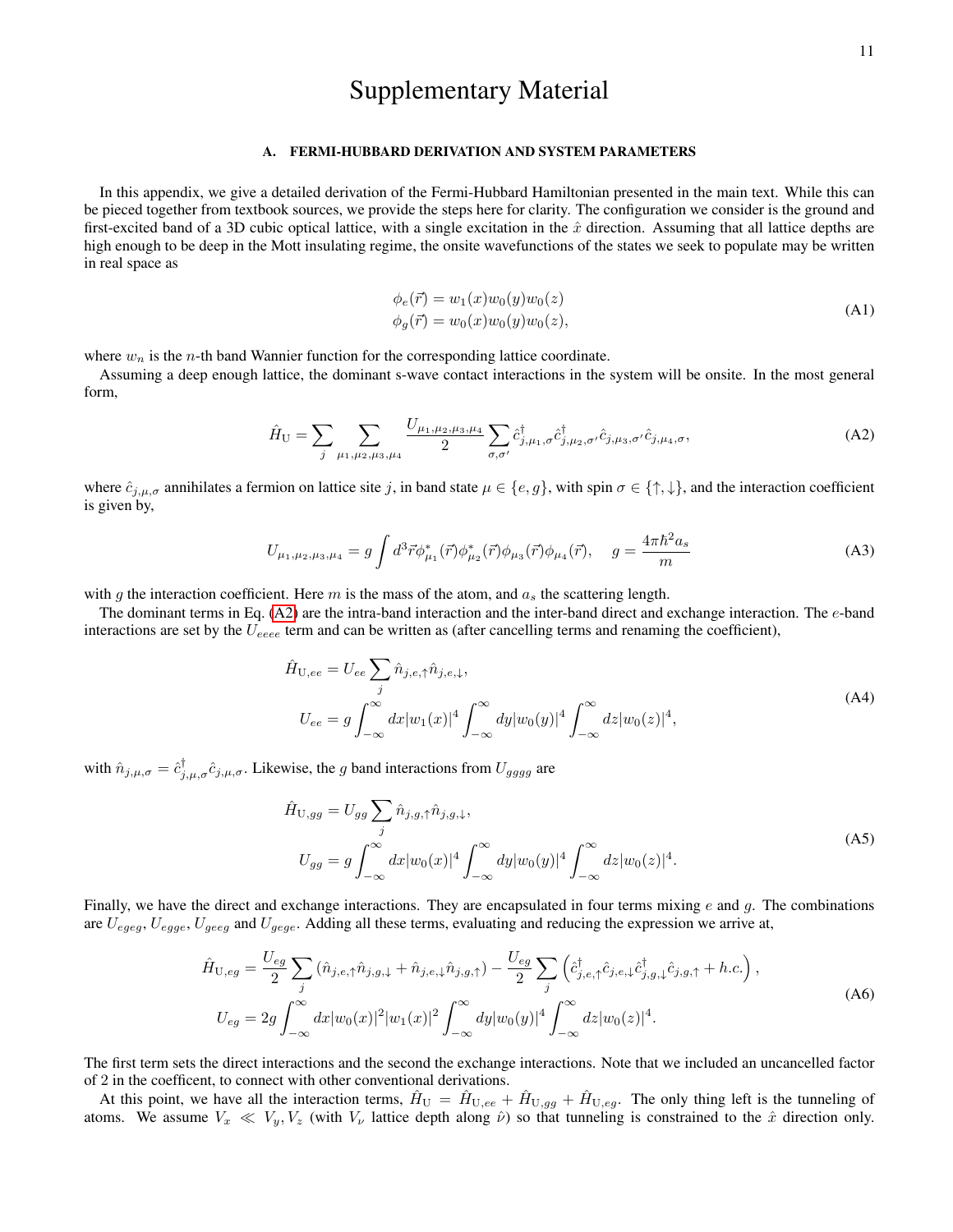# Supplementary Material

## A. FERMI-HUBBARD DERIVATION AND SYSTEM PARAMETERS

In this appendix, we give a detailed derivation of the Fermi-Hubbard Hamiltonian presented in the main text. While this can be pieced together from textbook sources, we provide the steps here for clarity. The configuration we consider is the ground and first-excited band of a 3D cubic optical lattice, with a single excitation in the  $\hat{x}$  direction. Assuming that all lattice depths are high enough to be deep in the Mott insulating regime, the onsite wavefunctions of the states we seek to populate may be written in real space as

<span id="page-10-1"></span>
$$
\phi_e(\vec{r}) = w_1(x)w_0(y)w_0(z)
$$
  
\n
$$
\phi_g(\vec{r}) = w_0(x)w_0(y)w_0(z),
$$
\n(A1)

where  $w_n$  is the *n*-th band Wannier function for the corresponding lattice coordinate.

Assuming a deep enough lattice, the dominant s-wave contact interactions in the system will be onsite. In the most general form,

<span id="page-10-0"></span>
$$
\hat{H}_{\mathbf{U}} = \sum_{j} \sum_{\mu_1, \mu_2, \mu_3, \mu_4} \frac{U_{\mu_1, \mu_2, \mu_3, \mu_4}}{2} \sum_{\sigma, \sigma'} \hat{c}_{j, \mu_1, \sigma}^{\dagger} \hat{c}_{j, \mu_2, \sigma'}^{\dagger} \hat{c}_{j, \mu_3, \sigma'} \hat{c}_{j, \mu_4, \sigma}, \tag{A2}
$$

where  $\hat{c}_{j,\mu,\sigma}$  annihilates a fermion on lattice site j, in band state  $\mu \in \{e,g\}$ , with spin  $\sigma \in \{\uparrow,\downarrow\}$ , and the interaction coefficient is given by,

<span id="page-10-2"></span>
$$
U_{\mu_1,\mu_2,\mu_3,\mu_4} = g \int d^3 \vec{r} \phi_{\mu_1}^* (\vec{r}) \phi_{\mu_2}^* (\vec{r}) \phi_{\mu_3} (\vec{r}) \phi_{\mu_4} (\vec{r}), \quad g = \frac{4\pi \hbar^2 a_s}{m}
$$
(A3)

with g the interaction coefficient. Here m is the mass of the atom, and  $a_s$  the scattering length.

The dominant terms in Eq.  $(A2)$  are the intra-band interaction and the inter-band direct and exchange interaction. The  $e$ -band interactions are set by the  $U_{eeee}$  term and can be written as (after cancelling terms and renaming the coefficient),

$$
\hat{H}_{U,ee} = U_{ee} \sum_{j} \hat{n}_{j,e,\uparrow} \hat{n}_{j,e,\downarrow},
$$
\n
$$
U_{ee} = g \int_{-\infty}^{\infty} dx |w_1(x)|^4 \int_{-\infty}^{\infty} dy |w_0(y)|^4 \int_{-\infty}^{\infty} dz |w_0(z)|^4,
$$
\n(A4)

with  $\hat{n}_{j,\mu,\sigma} = \hat{c}_{j,\mu,\sigma}^{\dagger} \hat{c}_{j,\mu,\sigma}$ . Likewise, the g band interactions from  $U_{gggg}$  are

$$
\hat{H}_{U,gg} = U_{gg} \sum_{j} \hat{n}_{j,g,\uparrow} \hat{n}_{j,g,\downarrow},
$$
\n
$$
U_{gg} = g \int_{-\infty}^{\infty} dx |w_0(x)|^4 \int_{-\infty}^{\infty} dy |w_0(y)|^4 \int_{-\infty}^{\infty} dz |w_0(z)|^4.
$$
\n(A5)

Finally, we have the direct and exchange interactions. They are encapsulated in four terms mixing  $e$  and  $g$ . The combinations are  $U_{egeg}$ ,  $U_{gege}$ ,  $U_{gege}$  and  $U_{gege}$ . Adding all these terms, evaluating and reducing the expression we arrive at,

$$
\hat{H}_{U,eg} = \frac{U_{eg}}{2} \sum_{j} (\hat{n}_{j,e,\uparrow} \hat{n}_{j,g,\downarrow} + \hat{n}_{j,e,\downarrow} \hat{n}_{j,g,\uparrow}) - \frac{U_{eg}}{2} \sum_{j} (\hat{c}_{j,e,\uparrow}^{\dagger} \hat{c}_{j,e,\downarrow} \hat{c}_{j,g,\downarrow}^{\dagger} \hat{c}_{j,g,\uparrow} + h.c.) ,
$$
\n
$$
U_{eg} = 2g \int_{-\infty}^{\infty} dx |w_0(x)|^2 |w_1(x)|^2 \int_{-\infty}^{\infty} dy |w_0(y)|^4 \int_{-\infty}^{\infty} dz |w_0(z)|^4.
$$
\n(A6)

The first term sets the direct interactions and the second the exchange interactions. Note that we included an uncancelled factor of 2 in the coefficent, to connect with other conventional derivations.

At this point, we have all the interaction terms,  $\hat{H}_{U} = \hat{H}_{U,ee} + \hat{H}_{U,gg} + \hat{H}_{U,eg}$ . The only thing left is the tunneling of atoms. We assume  $V_x \ll V_y, V_z$  (with  $V_\nu$  lattice depth along  $\hat{\nu}$ ) so that tunneling is constrained to the  $\hat{x}$  direction only.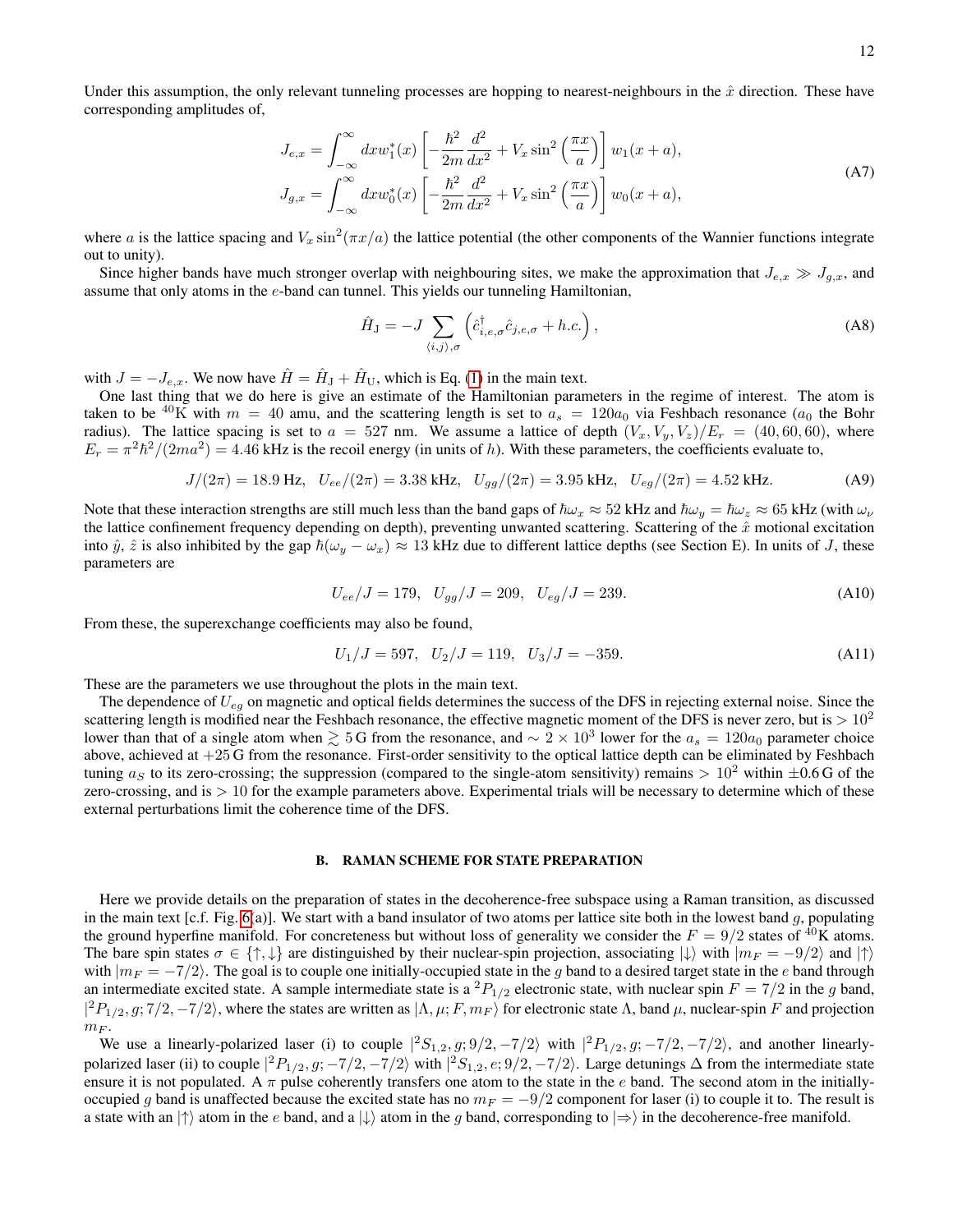$$
J_{e,x} = \int_{-\infty}^{\infty} dx w_1^*(x) \left[ -\frac{\hbar^2}{2m} \frac{d^2}{dx^2} + V_x \sin^2\left(\frac{\pi x}{a}\right) \right] w_1(x+a),
$$
  
\n
$$
J_{g,x} = \int_{-\infty}^{\infty} dx w_0^*(x) \left[ -\frac{\hbar^2}{2m} \frac{d^2}{dx^2} + V_x \sin^2\left(\frac{\pi x}{a}\right) \right] w_0(x+a),
$$
\n(A7)

where a is the lattice spacing and  $V_x \sin^2(\pi x/a)$  the lattice potential (the other components of the Wannier functions integrate out to unity).

Since higher bands have much stronger overlap with neighbouring sites, we make the approximation that  $J_{e,x} \gg J_{q,x}$ , and assume that only atoms in the e-band can tunnel. This yields our tunneling Hamiltonian,

$$
\hat{H}_{\mathcal{J}} = -J \sum_{\langle i,j \rangle,\sigma} \left( \hat{c}^{\dagger}_{i,e,\sigma} \hat{c}_{j,e,\sigma} + h.c. \right), \tag{A8}
$$

with  $J = -J_{e,x}$ . We now have  $\hat{H} = \hat{H}_{\rm J} + \hat{H}_{\rm U}$ , which is Eq. [\(1\)](#page-1-0) in the main text.

One last thing that we do here is give an estimate of the Hamiltonian parameters in the regime of interest. The atom is taken to be <sup>40</sup>K with  $m = 40$  amu, and the scattering length is set to  $a_s = 120a_0$  via Feshbach resonance  $(a_0$  the Bohr radius). The lattice spacing is set to  $a = 527$  nm. We assume a lattice of depth  $(V_x, V_y, V_z)/E_r = (40, 60, 60)$ , where  $E_r = \pi^2 \hbar^2/(2ma^2) = 4.46$  kHz is the recoil energy (in units of h). With these parameters, the coefficients evaluate to,

$$
J/(2\pi) = 18.9 \text{ Hz}, \quad U_{ee}/(2\pi) = 3.38 \text{ kHz}, \quad U_{gg}/(2\pi) = 3.95 \text{ kHz}, \quad U_{eg}/(2\pi) = 4.52 \text{ kHz}.
$$
 (A9)

Note that these interaction strengths are still much less than the band gaps of  $\hbar\omega_x \approx 52$  kHz and  $\hbar\omega_y = \hbar\omega_z \approx 65$  kHz (with  $\omega_\nu$ the lattice confinement frequency depending on depth), preventing unwanted scattering. Scattering of the  $\hat{x}$  motional excitation into  $\hat{y}$ ,  $\hat{z}$  is also inhibited by the gap  $\hbar(\omega_y - \omega_x) \approx 13$  kHz due to different lattice depths (see Section E). In units of J, these parameters are

$$
U_{ee}/J = 179, \quad U_{gg}/J = 209, \quad U_{eg}/J = 239. \tag{A10}
$$

From these, the superexchange coefficients may also be found,

$$
U_1/J = 597, U_2/J = 119, U_3/J = -359.
$$
 (A11)

These are the parameters we use throughout the plots in the main text.

The dependence of  $U_{eq}$  on magnetic and optical fields determines the success of the DFS in rejecting external noise. Since the scattering length is modified near the Feshbach resonance, the effective magnetic moment of the DFS is never zero, but is  $> 10^2$ lower than that of a single atom when  $\geq 5$  G from the resonance, and  $\sim 2 \times 10^3$  lower for the  $a_s = 120a_0$  parameter choice above, achieved at +25 G from the resonance. First-order sensitivity to the optical lattice depth can be eliminated by Feshbach tuning  $a<sub>S</sub>$  to its zero-crossing; the suppression (compared to the single-atom sensitivity) remains  $> 10<sup>2</sup>$  within  $\pm 0.6$  G of the zero-crossing, and is  $> 10$  for the example parameters above. Experimental trials will be necessary to determine which of these external perturbations limit the coherence time of the DFS.

## B. RAMAN SCHEME FOR STATE PREPARATION

Here we provide details on the preparation of states in the decoherence-free subspace using a Raman transition, as discussed in the main text [c.f. Fig. [6\(](#page-6-1)a)]. We start with a band insulator of two atoms per lattice site both in the lowest band g, populating the ground hyperfine manifold. For concreteness but without loss of generality we consider the  $F = 9/2$  states of <sup>40</sup>K atoms. The bare spin states  $\sigma \in \{\uparrow, \downarrow\}$  are distinguished by their nuclear-spin projection, associating  $|\downarrow\rangle$  with  $|m_F = -9/2\rangle$  and  $|\uparrow\rangle$ with  $|m_F = -7/2\rangle$ . The goal is to couple one initially-occupied state in the g band to a desired target state in the e band through an intermediate excited state. A sample intermediate state is a  ${}^2P_{1/2}$  electronic state, with nuclear spin  $F = 7/2$  in the g band,  $|^{2}P_{1/2}, g; 7/2, -7/2\rangle$ , where the states are written as  $|\Lambda, \mu; F, m_F\rangle$  for electronic state  $\Lambda$ , band  $\mu$ , nuclear-spin F and projection  $m_F$ .

We use a linearly-polarized laser (i) to couple  $|{}^2S_{1,2}, g; 9/2, -7/2\rangle$  with  $|{}^2P_{1/2}, g; -7/2, -7/2\rangle$ , and another linearlypolarized laser (ii) to couple  $|{}^2P_{1/2}, g; -7/2, -7/2\rangle$  with  $|{}^2S_{1,2}, e; 9/2, -7/2\rangle$ . Large detunings  $\Delta$  from the intermediate state ensure it is not populated. A  $\pi$  pulse coherently transfers one atom to the state in the e band. The second atom in the initiallyoccupied g band is unaffected because the excited state has no  $m_F = -9/2$  component for laser (i) to couple it to. The result is a state with an  $|\uparrow\rangle$  atom in the e band, and a  $|\downarrow\rangle$  atom in the g band, corresponding to  $|\Rightarrow\rangle$  in the decoherence-free manifold.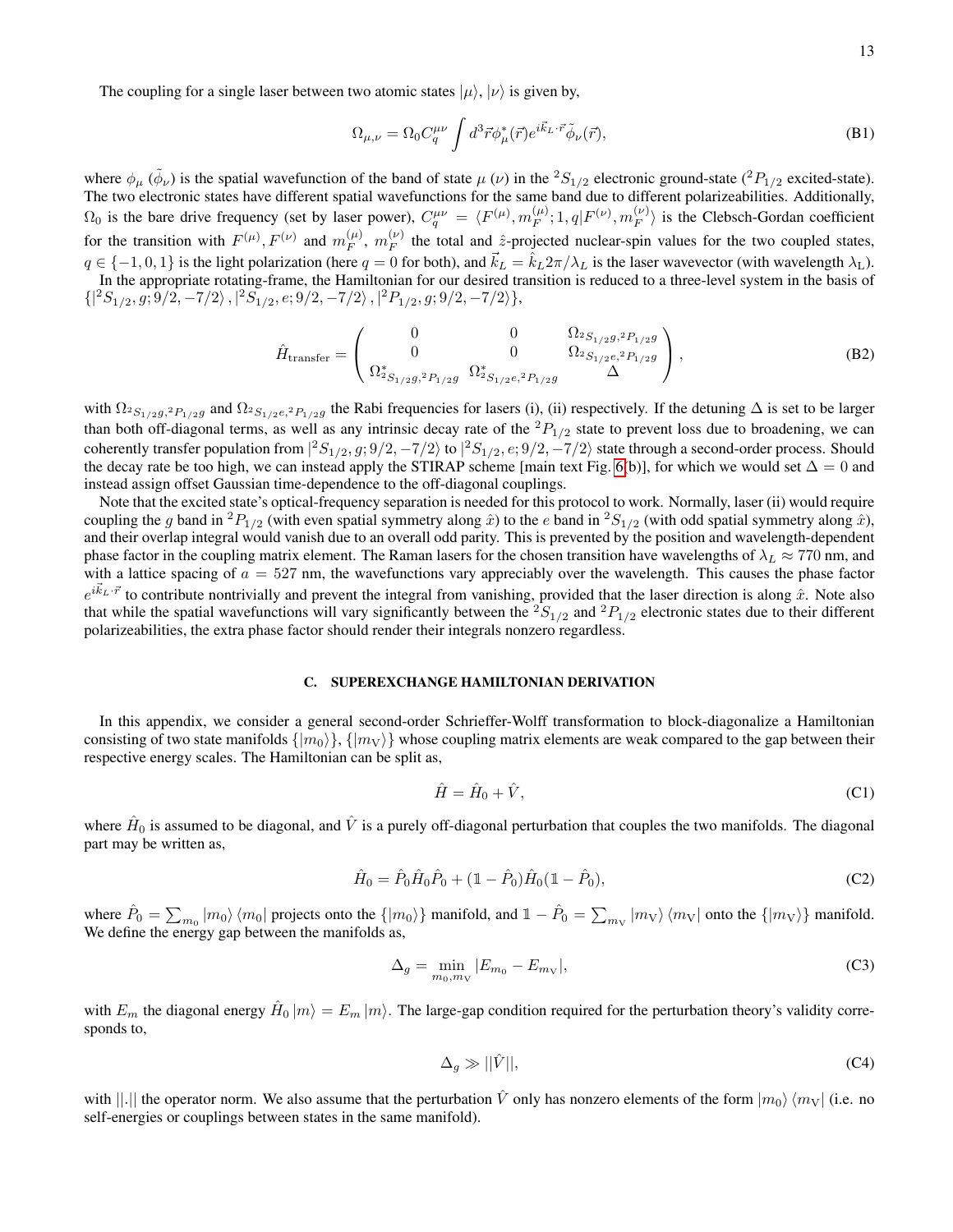The coupling for a single laser between two atomic states  $|\mu\rangle$ ,  $|\nu\rangle$  is given by,

$$
\Omega_{\mu,\nu} = \Omega_0 C_q^{\mu\nu} \int d^3 \vec{r} \phi_{\mu}^* (\vec{r}) e^{i \vec{k}_L \cdot \vec{r}} \tilde{\phi}_{\nu} (\vec{r}), \tag{B1}
$$

where  $\phi_\mu$  ( $\tilde{\phi}_\nu$ ) is the spatial wavefunction of the band of state  $\mu$  ( $\nu$ ) in the  ${}^2S_{1/2}$  electronic ground-state ( ${}^2P_{1/2}$  excited-state). The two electronic states have different spatial wavefunctions for the same band due to different polarizeabilities. Additionally,  $\Omega_0$  is the bare drive frequency (set by laser power),  $C_q^{\mu\nu} = \langle F^{(\mu)}, m_F^{(\mu)} \rangle$  $F_F^{(\mu)};1,q|F^{(\nu)},m_F^{(\nu)}$  $\binom{V}{F}$  is the Clebsch-Gordan coefficient for the transition with  $F^{(\mu)}, F^{(\nu)}$  and  $m_F^{(\mu)}$  $_{F}^{(\mu )},\;m_{F}^{(\nu )}$  $\frac{f^{(V)}}{F}$  the total and  $\hat{z}$ -projected nuclear-spin values for the two coupled states,  $q \in \{-1, 0, 1\}$  is the light polarization (here  $q = 0$  for both), and  $\vec{k}_L = \hat{k}_L 2\pi/\lambda_L$  is the laser wavevector (with wavelength  $\lambda_L$ ). In the appropriate rotating-frame, the Hamiltonian for our desired transition is reduced to a three-level system in the basis of  $\{|^{2}S_{1/2}, g; 9/2, -7/2\rangle, |^{2}S_{1/2}, e; 9/2, -7/2\rangle, |^{2}P_{1/2}, g; 9/2, -7/2\rangle\},$ 

$$
\hat{H}_{\text{transfer}} = \begin{pmatrix}\n0 & 0 & \Omega_{2S_{1/2}g,{}^{2}P_{1/2}g} \\
0 & 0 & \Omega_{2S_{1/2}g,{}^{2}P_{1/2}g} \\
\Omega_{2S_{1/2}g,{}^{2}P_{1/2}g} & \Omega_{2S_{1/2}g,{}^{2}P_{1/2}g} & \Delta\n\end{pmatrix},
$$
\n(B2)

with  $\Omega_{2S_{1/2}g,2P_{1/2}g}$  and  $\Omega_{2S_{1/2}e,2P_{1/2}g}$  the Rabi frequencies for lasers (i), (ii) respectively. If the detuning  $\Delta$  is set to be larger than both off-diagonal terms, as well as any intrinsic decay rate of the  ${}^{2}P_{1/2}$  state to prevent loss due to broadening, we can coherently transfer population from  $|{}^2S_{1/2}, g; 9/2, -7/2\rangle$  to  $|{}^2S_{1/2}, e; 9/2, -7/2\rangle$  state through a second-order process. Should the decay rate be too high, we can instead apply the STIRAP scheme [main text Fig. [6\(](#page-6-1)b)], for which we would set  $\Delta = 0$  and instead assign offset Gaussian time-dependence to the off-diagonal couplings.

Note that the excited state's optical-frequency separation is needed for this protocol to work. Normally, laser (ii) would require coupling the g band in <sup>2</sup>P<sub>1/2</sub> (with even spatial symmetry along  $\hat{x}$ ) to the e band in <sup>2</sup>S<sub>1/2</sub> (with odd spatial symmetry along  $\hat{x}$ ), and their overlap integral would vanish due to an overall odd parity. This is prevented by the position and wavelength-dependent phase factor in the coupling matrix element. The Raman lasers for the chosen transition have wavelengths of  $\lambda_L \approx 770$  nm, and with a lattice spacing of  $a = 527$  nm, the wavefunctions vary appreciably over the wavelength. This causes the phase factor  $e^{i\vec{k}_L\cdot\vec{r}}$  to contribute nontrivially and prevent the integral from vanishing, provided that the laser direction is along  $\hat{x}$ . Note also that while the spatial wavefunctions will vary significantly between the  ${}^2S_{1/2}$  and  ${}^2P_{1/2}$  electronic states due to their different polarizeabilities, the extra phase factor should render their integrals nonzero regardless.

## C. SUPEREXCHANGE HAMILTONIAN DERIVATION

In this appendix, we consider a general second-order Schrieffer-Wolff transformation to block-diagonalize a Hamiltonian consisting of two state manifolds  $\{|m_0\rangle\}$ ,  $\{|m_V\rangle\}$  whose coupling matrix elements are weak compared to the gap between their respective energy scales. The Hamiltonian can be split as,

$$
\hat{H} = \hat{H}_0 + \hat{V},\tag{C1}
$$

where  $\hat{H}_0$  is assumed to be diagonal, and  $\hat{V}$  is a purely off-diagonal perturbation that couples the two manifolds. The diagonal part may be written as,

$$
\hat{H}_0 = \hat{P}_0 \hat{H}_0 \hat{P}_0 + (1 - \hat{P}_0) \hat{H}_0 (1 - \hat{P}_0),
$$
\n(C2)

where  $\hat{P}_0 = \sum_{m_0} |m_0\rangle \langle m_0|$  projects onto the  $\{|m_0\rangle\}$  manifold, and  $1 - \hat{P}_0 = \sum_{m_V} |m_V\rangle \langle m_V|$  onto the  $\{|m_V\rangle\}$  manifold. We define the energy gap between the manifolds as,

$$
\Delta_g = \min_{m_0, m_V} |E_{m_0} - E_{m_V}|,\tag{C3}
$$

with  $E_m$  the diagonal energy  $\hat{H}_0 |m\rangle = E_m |m\rangle$ . The large-gap condition required for the perturbation theory's validity corresponds to,

$$
\Delta_g \gg ||\hat{V}||,\tag{C4}
$$

with ||.|| the operator norm. We also assume that the perturbation  $\hat{V}$  only has nonzero elements of the form  $|m_0\rangle\langle m_V|$  (i.e. no self-energies or couplings between states in the same manifold).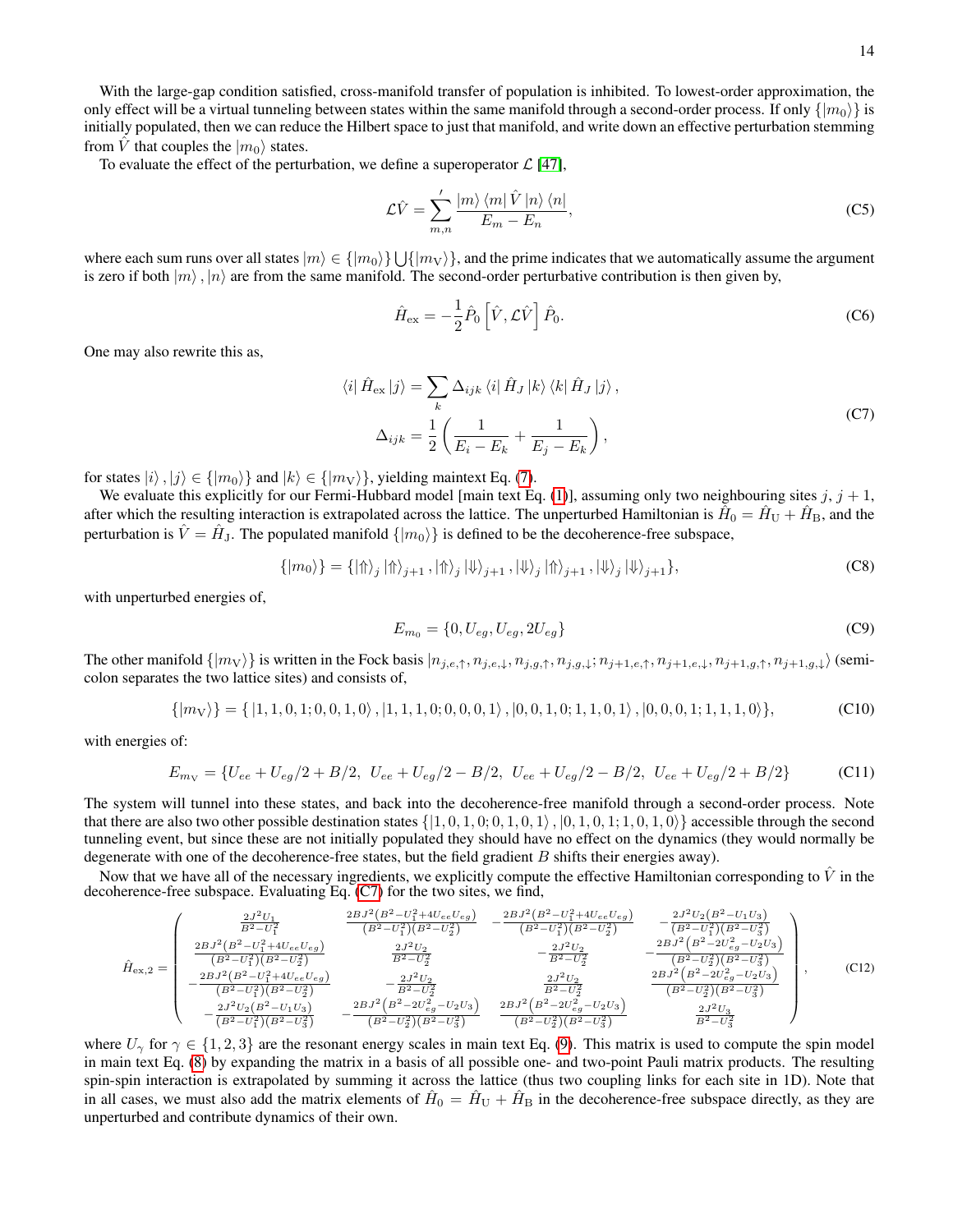With the large-gap condition satisfied, cross-manifold transfer of population is inhibited. To lowest-order approximation, the only effect will be a virtual tunneling between states within the same manifold through a second-order process. If only  $\{|m_0\rangle\}$  is initially populated, then we can reduce the Hilbert space to just that manifold, and write down an effective perturbation stemming from  $\hat{V}$  that couples the  $|m_0\rangle$  states.

To evaluate the effect of the perturbation, we define a superoperator  $\mathcal{L}$  [\[47\]](#page-9-12),

$$
\mathcal{L}\hat{V} = \sum_{m,n}' \frac{|m\rangle \langle m| \hat{V} |n\rangle \langle n|}{E_m - E_n},
$$
\n(C5)

where each sum runs over all states  $|m\rangle\in\{|m_0\rangle\}\bigcup\{|m_V\rangle\}$ , and the prime indicates that we automatically assume the argument is zero if both  $|m\rangle$ ,  $|n\rangle$  are from the same manifold. The second-order perturbative contribution is then given by,

$$
\hat{H}_{\text{ex}} = -\frac{1}{2}\hat{P}_0 \left[ \hat{V}, \mathcal{L}\hat{V} \right] \hat{P}_0. \tag{C6}
$$

One may also rewrite this as,

<span id="page-13-0"></span>
$$
\langle i | \hat{H}_{\text{ex}} | j \rangle = \sum_{k} \Delta_{ijk} \langle i | \hat{H}_J | k \rangle \langle k | \hat{H}_J | j \rangle,
$$
  

$$
\Delta_{ijk} = \frac{1}{2} \left( \frac{1}{E_i - E_k} + \frac{1}{E_j - E_k} \right),
$$
 (C7)

for states  $|i\rangle, |j\rangle \in \{|m_0\rangle\}$  and  $|k\rangle \in \{|m_V\rangle\}$ , yielding maintext Eq. [\(7\)](#page-2-3).

We evaluate this explicitly for our Fermi-Hubbard model [main text Eq. [\(1\)](#page-1-0)], assuming only two neighbouring sites  $j, j + 1$ , after which the resulting interaction is extrapolated across the lattice. The unperturbed Hamiltonian is  $\hat{H}_0=\hat{H}_{\rm U}+\hat{H}_{\rm B}$ , and the perturbation is  $\hat{V} = \hat{H}_{\text{J}}$ . The populated manifold  $\{|m_0\rangle\}$  is defined to be the decoherence-free subspace,

$$
\{ |m_0\rangle \} = \{ | \Uparrow \rangle_j | \Uparrow \rangle_{j+1}, | \Uparrow \rangle_j | \Downarrow \rangle_{j+1}, | \Downarrow \rangle_j | \Uparrow \rangle_{j+1}, | \Downarrow \rangle_j | \Downarrow \rangle_{j+1} \},
$$
\n(C8)

with unperturbed energies of,

$$
E_{m_0} = \{0, U_{eg}, U_{eg}, 2U_{eg}\}\tag{C9}
$$

The other manifold  $\{|m_V\rangle\}$  is written in the Fock basis  $|n_{j,e,\uparrow}, n_{j,e,\downarrow}, n_{j,g,\downarrow}, n_{j+1,e,\uparrow}, n_{j+1,e,\downarrow}, n_{j+1,g,\uparrow}, n_{j+1,g,\downarrow} \rangle$  (semicolon separates the two lattice sites) and consists of,

$$
\{|m_V\rangle\} = \{|1, 1, 0, 1; 0, 0, 1, 0\rangle, |1, 1, 1, 0; 0, 0, 0, 1\rangle, |0, 0, 1, 0; 1, 1, 0, 1\rangle, |0, 0, 0, 1; 1, 1, 1, 0\rangle\},
$$
(C10)

with energies of:

$$
E_{m_V} = \{U_{ee} + U_{eg}/2 + B/2, \ U_{ee} + U_{eg}/2 - B/2, \ U_{ee} + U_{eg}/2 - B/2, \ U_{ee} + U_{eg}/2 + B/2\}
$$
 (C11)

The system will tunnel into these states, and back into the decoherence-free manifold through a second-order process. Note that there are also two other possible destination states  $\{1, 0, 1, 0, 1, 0, 1, 0, 1, 0, 1, 0, 1, 0, 1, 0, 1, 0\}$  accessible through the second tunneling event, but since these are not initially populated they should have no effect on the dynamics (they would normally be degenerate with one of the decoherence-free states, but the field gradient  $B$  shifts their energies away).

Now that we have all of the necessary ingredients, we explicitly compute the effective Hamiltonian corresponding to  $\hat{V}$  in the decoherence-free subspace. Evaluating Eq. [\(C7\)](#page-13-0) for the two sites, we find,

$$
\hat{H}_{\text{ex},2} = \begin{pmatrix}\n\frac{2J^2U_1}{B^2 - U_1^2} & \frac{2BJ^2(B^2 - U_1^2 + 4U_{ee}U_{eg})}{(B^2 - U_1^2)(B^2 - U_2^2)} & -\frac{2BJ^2(B^2 - U_1^2 + 4U_{ee}U_{eg})}{(B^2 - U_1^2)(B^2 - U_2^2)} & -\frac{2J^2U_2(B^2 - U_1U_3)}{(B^2 - U_1^2)(B^2 - U_3^2)} \\
\frac{2BJ^2(B^2 - U_1^2 + 4U_{ee}U_{eg})}{(B^2 - U_1^2)(B^2 - U_2^2)} & \frac{2J^2U_2}{B^2 - U_2^2} & -\frac{2J^2U_2}{B^2 - U_2^2} & -\frac{2BJ^2(B^2 - 2U_{eg}^2 - U_2U_3)}{(B^2 - U_2^2)(B^2 - U_3^2)} \\
-\frac{2BJ^2(B^2 - U_1^2 + 4U_{ee}U_{eg})}{(B^2 - U_1^2)(B^2 - U_2^2)} & -\frac{2J^2U_2}{B^2 - U_2^2} & \frac{2J^2U_2}{B^2 - U_2^2} & \frac{2BJ^2(B^2 - 2U_{eg}^2 - U_2U_3)}{(B^2 - U_2^2)(B^2 - U_3^2)} \\
-\frac{2J^2U_2(B^2 - U_1U_3)}{(B^2 - U_1^2)(B^2 - U_3^2)} & -\frac{2BJ^2(B^2 - 2U_{eg}^2 - U_2U_3)}{(B^2 - U_2^2)(B^2 - U_3^2)} & \frac{2BJ^2(B^2 - 2U_{eg}^2 - U_2U_3)}{(B^2 - U_2^2)(B^2 - U_3^2)}\n\end{pmatrix},\n\tag{C12}
$$

where  $U_{\gamma}$  for  $\gamma \in \{1, 2, 3\}$  are the resonant energy scales in main text Eq. [\(9\)](#page-3-2). This matrix is used to compute the spin model in main text Eq. [\(8\)](#page-2-1) by expanding the matrix in a basis of all possible one- and two-point Pauli matrix products. The resulting spin-spin interaction is extrapolated by summing it across the lattice (thus two coupling links for each site in 1D). Note that in all cases, we must also add the matrix elements of  $\hat{H}_0 = \hat{H}_{U} + \hat{H}_{B}$  in the decoherence-free subspace directly, as they are unperturbed and contribute dynamics of their own.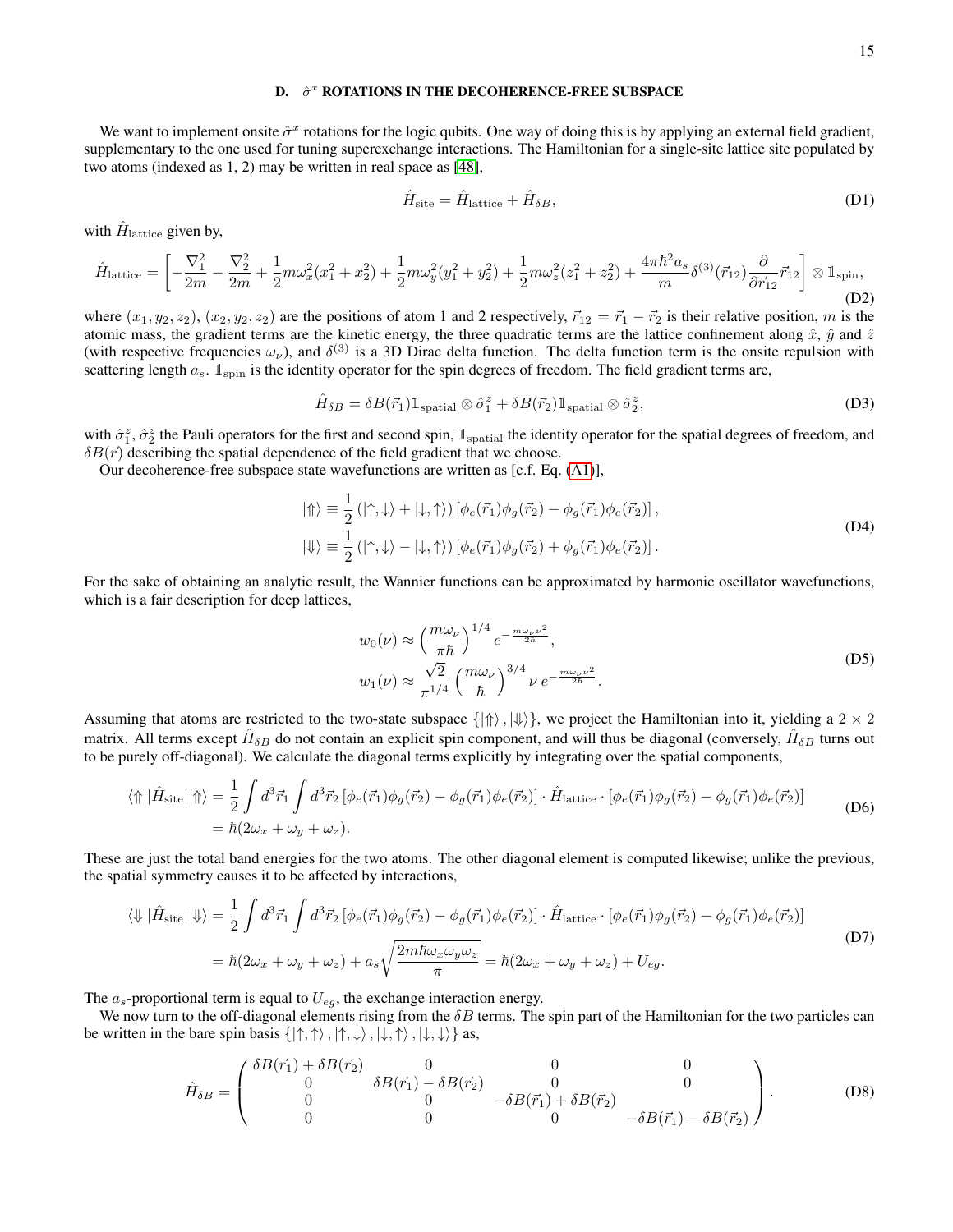## D.  $\hat{\sigma}^x$  ROTATIONS IN THE DECOHERENCE-FREE SUBSPACE

We want to implement onsite  $\hat{\sigma}^x$  rotations for the logic qubits. One way of doing this is by applying an external field gradient, supplementary to the one used for tuning superexchange interactions. The Hamiltonian for a single-site lattice site populated by two atoms (indexed as 1, 2) may be written in real space as [\[48\]](#page-9-13),

$$
\hat{H}_{\text{site}} = \hat{H}_{\text{lattice}} + \hat{H}_{\delta B},\tag{D1}
$$

with  $\hat{H}_{\text{lattice}}$  given by,

$$
\hat{H}_{\text{lattice}} = \left[ -\frac{\nabla_1^2}{2m} - \frac{\nabla_2^2}{2m} + \frac{1}{2} m \omega_x^2 (x_1^2 + x_2^2) + \frac{1}{2} m \omega_y^2 (y_1^2 + y_2^2) + \frac{1}{2} m \omega_z^2 (z_1^2 + z_2^2) + \frac{4\pi \hbar^2 a_s}{m} \delta^{(3)}(\vec{r}_{12}) \frac{\partial}{\partial \vec{r}_{12}} \vec{r}_{12} \right] \otimes \mathbb{1}_{\text{spin}},\tag{D2}
$$

where  $(x_1, y_2, z_2), (x_2, y_2, z_2)$  are the positions of atom 1 and 2 respectively,  $\vec{r}_{12} = \vec{r}_1 - \vec{r}_2$  is their relative position, m is the atomic mass, the gradient terms are the kinetic energy, the three quadratic terms are the lattice confinement along  $\hat{x}$ ,  $\hat{y}$  and  $\hat{z}$ (with respective frequencies  $\omega_\nu$ ), and  $\delta^{(3)}$  is a 3D Dirac delta function. The delta function term is the onsite repulsion with scattering length  $a_s$ .  $\mathbb{1}_{\text{spin}}$  is the identity operator for the spin degrees of freedom. The field gradient terms are,

$$
\hat{H}_{\delta B} = \delta B(\vec{r}_1) \mathbb{1}_{\text{spatial}} \otimes \hat{\sigma}_1^z + \delta B(\vec{r}_2) \mathbb{1}_{\text{spatial}} \otimes \hat{\sigma}_2^z,\tag{D3}
$$

with  $\hat{\sigma}_1^z$ ,  $\hat{\sigma}_2^z$  the Pauli operators for the first and second spin,  $\mathbb{1}_{\text{spatial}}$  the identity operator for the spatial degrees of freedom, and  $\delta B(\vec{r})$  describing the spatial dependence of the field gradient that we choose.

Our decoherence-free subspace state wavefunctions are written as [c.f. Eq. [\(A1\)](#page-10-1)],

$$
|\Uparrow\rangle \equiv \frac{1}{2} (|\uparrow,\downarrow\rangle + |\downarrow,\uparrow\rangle) [\phi_e(\vec{r}_1)\phi_g(\vec{r}_2) - \phi_g(\vec{r}_1)\phi_e(\vec{r}_2)],
$$
  

$$
|\Downarrow\rangle \equiv \frac{1}{2} (|\uparrow,\downarrow\rangle - |\downarrow,\uparrow\rangle) [\phi_e(\vec{r}_1)\phi_g(\vec{r}_2) + \phi_g(\vec{r}_1)\phi_e(\vec{r}_2)].
$$
 (D4)

For the sake of obtaining an analytic result, the Wannier functions can be approximated by harmonic oscillator wavefunctions, which is a fair description for deep lattices,

$$
w_0(\nu) \approx \left(\frac{m\omega_\nu}{\pi\hbar}\right)^{1/4} e^{-\frac{m\omega_\nu \nu^2}{2\hbar}},
$$
  
\n
$$
w_1(\nu) \approx \frac{\sqrt{2}}{\pi^{1/4}} \left(\frac{m\omega_\nu}{\hbar}\right)^{3/4} \nu e^{-\frac{m\omega_\nu \nu^2}{2\hbar}}.
$$
\n(D5)

Assuming that atoms are restricted to the two-state subspace  $\{|\Uparrow\rangle, |\Downarrow\rangle\}$ , we project the Hamiltonian into it, yielding a  $2 \times 2$ matrix. All terms except  $\hat{H}_{\delta B}$  do not contain an explicit spin component, and will thus be diagonal (conversely,  $\hat{H}_{\delta B}$  turns out to be purely off-diagonal). We calculate the diagonal terms explicitly by integrating over the spatial components,

$$
\langle \Uparrow |\hat{H}_{\text{site}}| \Uparrow \rangle = \frac{1}{2} \int d^3 \vec{r}_1 \int d^3 \vec{r}_2 \left[ \phi_e(\vec{r}_1) \phi_g(\vec{r}_2) - \phi_g(\vec{r}_1) \phi_e(\vec{r}_2) \right] \cdot \hat{H}_{\text{lattice}} \cdot \left[ \phi_e(\vec{r}_1) \phi_g(\vec{r}_2) - \phi_g(\vec{r}_1) \phi_e(\vec{r}_2) \right] \tag{D6}
$$
\n
$$
= \hbar (2\omega_x + \omega_y + \omega_z).
$$

These are just the total band energies for the two atoms. The other diagonal element is computed likewise; unlike the previous, the spatial symmetry causes it to be affected by interactions,

$$
\langle \Downarrow | \hat{H}_{\text{site}} | \Downarrow \rangle = \frac{1}{2} \int d^3 \vec{r}_1 \int d^3 \vec{r}_2 \left[ \phi_e(\vec{r}_1) \phi_g(\vec{r}_2) - \phi_g(\vec{r}_1) \phi_e(\vec{r}_2) \right] \cdot \hat{H}_{\text{lattice}} \cdot \left[ \phi_e(\vec{r}_1) \phi_g(\vec{r}_2) - \phi_g(\vec{r}_1) \phi_e(\vec{r}_2) \right]
$$
\n
$$
= \hbar (2\omega_x + \omega_y + \omega_z) + a_s \sqrt{\frac{2m \hbar \omega_x \omega_y \omega_z}{\pi}} = \hbar (2\omega_x + \omega_y + \omega_z) + U_{eg}.
$$
\n(D7)

The  $a_s$ -proportional term is equal to  $U_{eg}$ , the exchange interaction energy.

We now turn to the off-diagonal elements rising from the  $\delta B$  terms. The spin part of the Hamiltonian for the two particles can be written in the bare spin basis  $\{|\uparrow, \uparrow\rangle, |\uparrow, \downarrow\rangle, |\downarrow, \uparrow\rangle, |\downarrow, \downarrow\rangle\}$  as,

$$
\hat{H}_{\delta B} = \begin{pmatrix}\n\delta B(\vec{r}_1) + \delta B(\vec{r}_2) & 0 & 0 & 0 \\
0 & \delta B(\vec{r}_1) - \delta B(\vec{r}_2) & 0 & 0 \\
0 & 0 & -\delta B(\vec{r}_1) + \delta B(\vec{r}_2) \\
0 & 0 & 0 & -\delta B(\vec{r}_1) - \delta B(\vec{r}_2)\n\end{pmatrix}.
$$
\n(D8)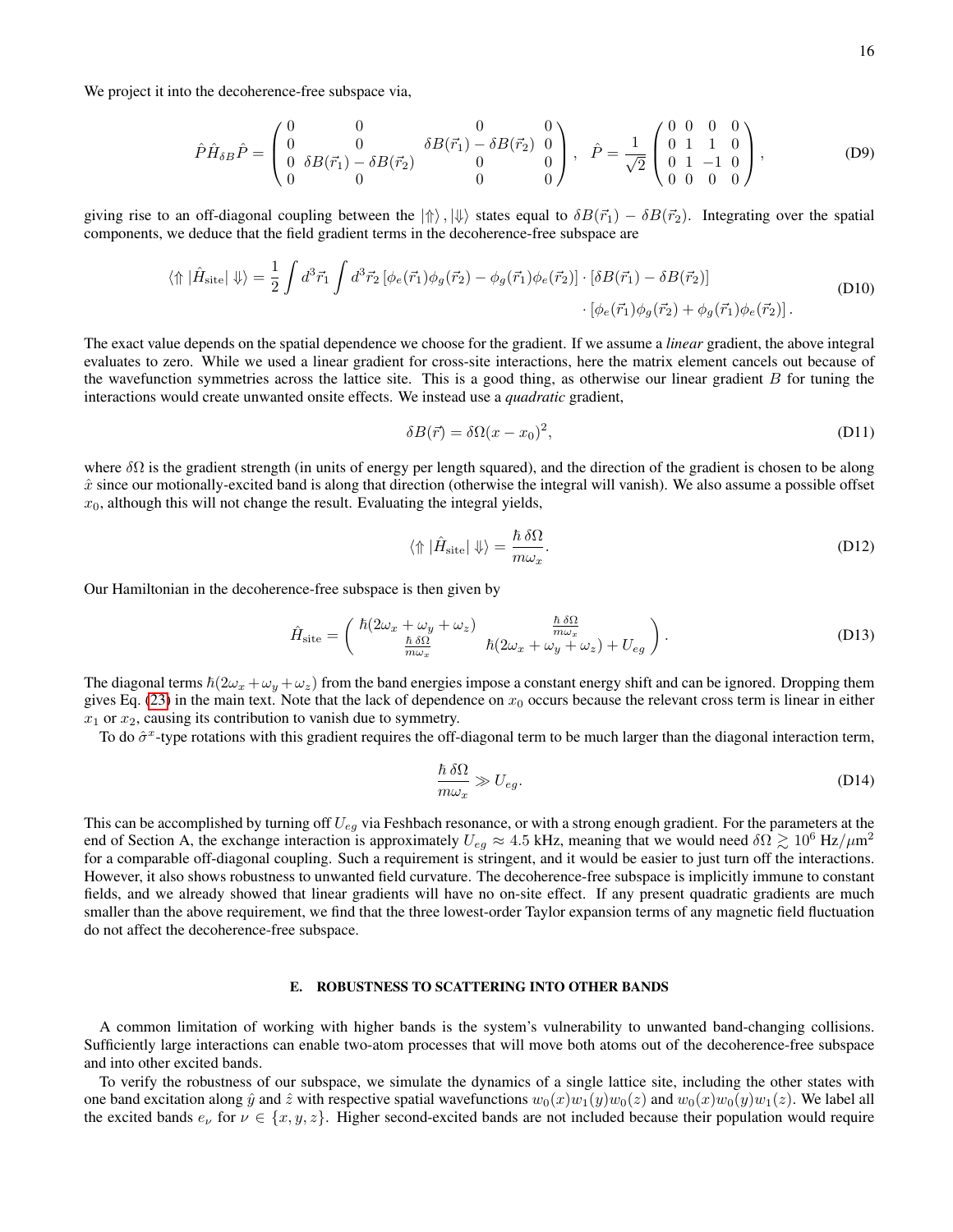We project it into the decoherence-free subspace via,

$$
\hat{P}\hat{H}_{\delta B}\hat{P} = \begin{pmatrix} 0 & 0 & 0 & 0 \\ 0 & 0 & \delta B(\vec{r}_1) - \delta B(\vec{r}_2) & 0 \\ 0 & \delta B(\vec{r}_1) - \delta B(\vec{r}_2) & 0 & 0 \\ 0 & 0 & 0 & 0 \end{pmatrix}, \quad \hat{P} = \frac{1}{\sqrt{2}} \begin{pmatrix} 0 & 0 & 0 & 0 \\ 0 & 1 & 1 & 0 \\ 0 & 1 & -1 & 0 \\ 0 & 0 & 0 & 0 \end{pmatrix},
$$
 (D9)

giving rise to an off-diagonal coupling between the  $|\{\rangle\}$ ,  $|\{\rangle\}$  states equal to  $\delta B(\vec{r}_1) - \delta B(\vec{r}_2)$ . Integrating over the spatial components, we deduce that the field gradient terms in the decoherence-free subspace are

$$
\langle \Uparrow |\hat{H}_{\text{site}}| \Downarrow \rangle = \frac{1}{2} \int d^3 \vec{r}_1 \int d^3 \vec{r}_2 \left[ \phi_e(\vec{r}_1) \phi_g(\vec{r}_2) - \phi_g(\vec{r}_1) \phi_e(\vec{r}_2) \right] \cdot \left[ \delta B(\vec{r}_1) - \delta B(\vec{r}_2) \right] \tag{D10}
$$
\n
$$
\cdot \left[ \phi_e(\vec{r}_1) \phi_g(\vec{r}_2) + \phi_g(\vec{r}_1) \phi_e(\vec{r}_2) \right].
$$

The exact value depends on the spatial dependence we choose for the gradient. If we assume a *linear* gradient, the above integral evaluates to zero. While we used a linear gradient for cross-site interactions, here the matrix element cancels out because of the wavefunction symmetries across the lattice site. This is a good thing, as otherwise our linear gradient  $B$  for tuning the interactions would create unwanted onsite effects. We instead use a *quadratic* gradient,

$$
\delta B(\vec{r}) = \delta \Omega (x - x_0)^2, \tag{D11}
$$

where  $\delta\Omega$  is the gradient strength (in units of energy per length squared), and the direction of the gradient is chosen to be along  $\hat{x}$  since our motionally-excited band is along that direction (otherwise the integral will vanish). We also assume a possible offset  $x_0$ , although this will not change the result. Evaluating the integral yields,

$$
\langle \Uparrow \hat{H}_{\text{site}} | \Downarrow \rangle = \frac{\hbar \,\delta\Omega}{m\omega_x}.
$$
 (D12)

Our Hamiltonian in the decoherence-free subspace is then given by

$$
\hat{H}_{\text{site}} = \begin{pmatrix} \hbar (2\omega_x + \omega_y + \omega_z) & \frac{\hbar \,\delta\Omega}{m\omega_x} \\ \frac{\hbar \,\delta\Omega}{m\omega_x} & \hbar (2\omega_x + \omega_y + \omega_z) + U_{eg} \end{pmatrix}.
$$
 (D13)

The diagonal terms  $\hbar(2\omega_x + \omega_y + \omega_z)$  from the band energies impose a constant energy shift and can be ignored. Dropping them gives Eq. [\(23\)](#page-6-2) in the main text. Note that the lack of dependence on  $x_0$  occurs because the relevant cross term is linear in either  $x_1$  or  $x_2$ , causing its contribution to vanish due to symmetry.

To do  $\hat{\sigma}^x$ -type rotations with this gradient requires the off-diagonal term to be much larger than the diagonal interaction term,

$$
\frac{\hbar \,\delta\Omega}{m\omega_x} \gg U_{eg}.\tag{D14}
$$

This can be accomplished by turning off  $U_{eq}$  via Feshbach resonance, or with a strong enough gradient. For the parameters at the end of Section A, the exchange interaction is approximately  $U_{eg} \approx 4.5$  kHz, meaning that we would need  $\delta\Omega \gtrsim 10^6$  Hz/ $\mu$ m<sup>2</sup> for a comparable off-diagonal coupling. Such a requirement is stringent, and it would be easier to just turn off the interactions. However, it also shows robustness to unwanted field curvature. The decoherence-free subspace is implicitly immune to constant fields, and we already showed that linear gradients will have no on-site effect. If any present quadratic gradients are much smaller than the above requirement, we find that the three lowest-order Taylor expansion terms of any magnetic field fluctuation do not affect the decoherence-free subspace.

## E. ROBUSTNESS TO SCATTERING INTO OTHER BANDS

A common limitation of working with higher bands is the system's vulnerability to unwanted band-changing collisions. Sufficiently large interactions can enable two-atom processes that will move both atoms out of the decoherence-free subspace and into other excited bands.

To verify the robustness of our subspace, we simulate the dynamics of a single lattice site, including the other states with one band excitation along  $\hat{y}$  and  $\hat{z}$  with respective spatial wavefunctions  $w_0(x)w_1(y)w_0(z)$  and  $w_0(x)w_0(y)w_1(z)$ . We label all the excited bands  $e_{\nu}$  for  $\nu \in \{x, y, z\}$ . Higher second-excited bands are not included because their population would require